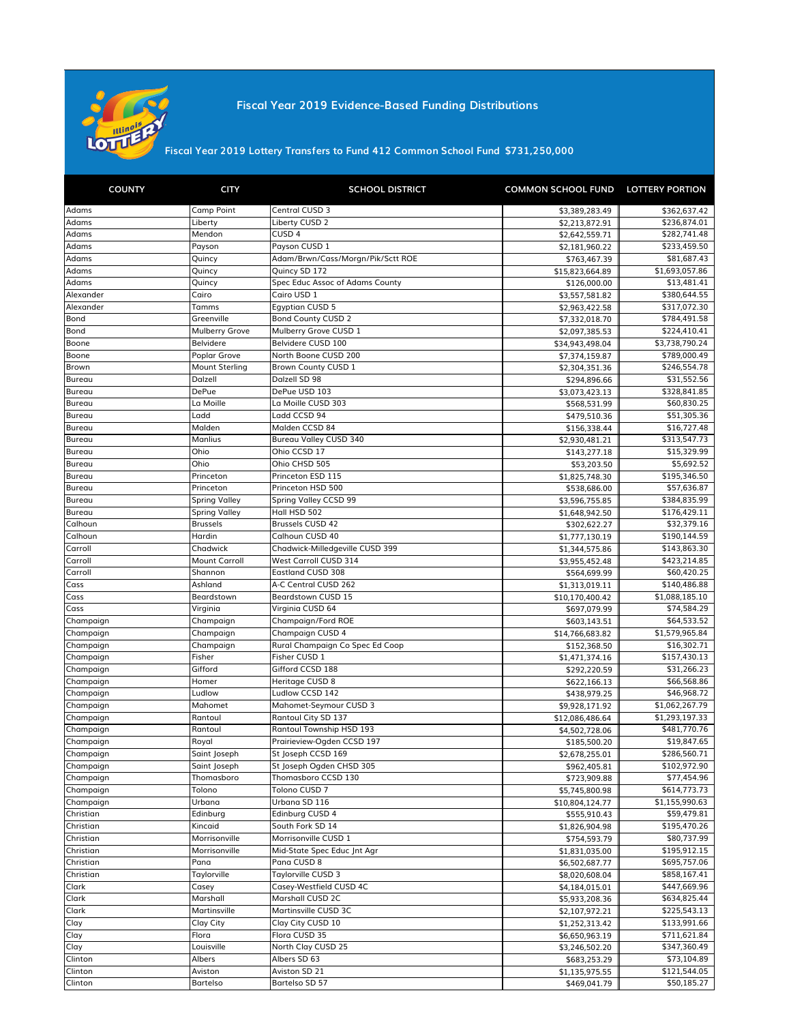

**Fiscal Year 2019 Evidence-Based Funding Distributions** 

**\$731,250,000 Fiscal Year 2019 Lottery Transfers to Fund 412 Common School Fund**

| <b>COUNTY</b> | <b>CITY</b>           | <b>SCHOOL DISTRICT</b>            | COMMON SCHOOL FUND LOTTERY PORTION |                |
|---------------|-----------------------|-----------------------------------|------------------------------------|----------------|
| Adams         | Camp Point            | Central CUSD 3                    | \$3,389,283.49                     | \$362,637.42   |
| Adams         | Liberty               | Liberty CUSD 2                    | \$2,213,872.91                     | \$236,874.01   |
| Adams         | Mendon                | CUSD <sub>4</sub>                 | \$2,642,559.71                     | \$282,741.48   |
| Adams         | Payson                | Payson CUSD 1                     | \$2,181,960.22                     | \$233,459.50   |
| Adams         | Quincy                | Adam/Brwn/Cass/Morgn/Pik/Sctt ROE | \$763,467.39                       | \$81,687.43    |
| Adams         | Quincy                | Quincy SD 172                     | \$15,823,664.89                    | \$1,693,057.86 |
| Adams         | Quincy                | Spec Educ Assoc of Adams County   | \$126,000.00                       | \$13,481.41    |
| Alexander     | Cairo                 | Cairo USD 1                       | \$3,557,581.82                     | \$380,644.55   |
| Alexander     | Tamms                 | Egyptian CUSD 5                   | \$2,963,422.58                     | \$317,072.30   |
| Bond          | Greenville            | <b>Bond County CUSD 2</b>         | \$7,332,018.70                     | \$784,491.58   |
| Bond          | Mulberry Grove        | Mulberry Grove CUSD 1             | \$2,097,385.53                     | \$224,410.41   |
| Boone         | Belvidere             | Belvidere CUSD 100                | \$34,943,498.04                    | \$3,738,790.24 |
| Boone         | Poplar Grove          | North Boone CUSD 200              | \$7,374,159.87                     | \$789,000.49   |
| Brown         | <b>Mount Sterling</b> | Brown County CUSD 1               | \$2,304,351.36                     | \$246,554.78   |
| Bureau        | Dalzell               | Dalzell SD 98                     | \$294,896.66                       | \$31,552.56    |
| Bureau        | <b>DePue</b>          | DePue USD 103                     | \$3,073,423.13                     | \$328,841.85   |
| Bureau        | La Moille             | La Moille CUSD 303                | \$568,531.99                       | \$60,830.25    |
| Bureau        | Ladd                  | Ladd CCSD 94                      | \$479,510.36                       | \$51,305.36    |
| Bureau        | Malden                | Malden CCSD 84                    | \$156,338.44                       | \$16,727.48    |
| Bureau        | <b>Manlius</b>        | Bureau Valley CUSD 340            | \$2,930,481.21                     | \$313,547.73   |
| Bureau        | Ohio                  | Ohio CCSD 17                      | \$143,277.18                       | \$15,329.99    |
| Bureau        | Ohio                  | Ohio CHSD 505                     | \$53,203.50                        | \$5,692.52     |
| Bureau        | Princeton             | Princeton ESD 115                 | \$1,825,748.30                     | \$195,346.50   |
| Bureau        | Princeton             | Princeton HSD 500                 | \$538,686.00                       | \$57,636.87    |
| Bureau        | <b>Spring Valley</b>  | Spring Valley CCSD 99             | \$3,596,755.85                     | \$384,835.99   |
| Bureau        | <b>Spring Valley</b>  | Hall HSD 502                      | \$1,648,942.50                     | \$176,429.11   |
| Calhoun       | <b>Brussels</b>       | <b>Brussels CUSD 42</b>           | \$302,622.27                       | \$32,379.16    |
| Calhoun       | Hardin                | Calhoun CUSD 40                   | \$1,777,130.19                     | \$190,144.59   |
| Carroll       | Chadwick              | Chadwick-Milledgeville CUSD 399   | \$1,344,575.86                     | \$143,863.30   |
| Carroll       | <b>Mount Carroll</b>  | West Carroll CUSD 314             | \$3,955,452.48                     | \$423,214.85   |
| Carroll       | Shannon               | <b>Eastland CUSD 308</b>          | \$564,699.99                       | \$60,420.25    |
| Cass          | Ashland               | A-C Central CUSD 262              | \$1,313,019.11                     | \$140,486.88   |
| Cass          | Beardstown            | Beardstown CUSD 15                | \$10,170,400.42                    | \$1,088,185.10 |
| Cass          | Virginia              | Virginia CUSD 64                  | \$697,079.99                       | \$74,584.29    |
| Champaign     | Champaign             | Champaign/Ford ROE                | \$603,143.51                       | \$64,533.52    |
| Champaign     | Champaign             | Champaign CUSD 4                  | \$14,766,683.82                    | \$1,579,965.84 |
| Champaign     | Champaign             | Rural Champaign Co Spec Ed Coop   | \$152,368.50                       | \$16,302.71    |
| Champaign     | Fisher                | Fisher CUSD 1                     | \$1,471,374.16                     | \$157,430.13   |
| Champaign     | Gifford               | Gifford CCSD 188                  | \$292,220.59                       | \$31,266.23    |
| Champaign     | Homer                 | Heritage CUSD 8                   | \$622,166.13                       | \$66,568.86    |
| Champaign     | Ludlow                | Ludlow CCSD 142                   | \$438,979.25                       | \$46,968.72    |
| Champaign     | Mahomet               | Mahomet-Seymour CUSD 3            | \$9,928,171.92                     | \$1,062,267.79 |
| Champaign     | Rantoul               | Rantoul City SD 137               | \$12,086,486.64                    | \$1,293,197.33 |
| Champaign     | Rantoul               | Rantoul Township HSD 193          | \$4,502,728.06                     | \$481,770.76   |
| Champaign     | Royal                 | Prairieview-Ogden CCSD 197        | \$185,500.20                       | \$19,847.65    |
| Champaign     | Saint Joseph          | St loseph CCSD 169                | \$2,678,255.01                     | \$286,560.71   |
| Champaign     | Saint Joseph          | St Joseph Ogden CHSD 305          | \$962,405.81                       | \$102,972.90   |
| Champaign     | Thomasboro            | Thomasboro CCSD 130               | \$723,909.88                       | \$77,454.96    |
| Champaign     | Tolono                | Tolono CUSD 7                     | \$5,745,800.98                     | \$614,773.73   |
| Champaign     | Urbana                | Urbana SD 116                     | \$10,804,124.77                    | \$1,155,990.63 |
| Christian     | Edinburg              | Edinburg CUSD 4                   | \$555,910.43                       | \$59,479.81    |
| Christian     | Kincaid               | South Fork SD 14                  | \$1,826,904.98                     | \$195,470.26   |
| Christian     | Morrisonville         | Morrisonville CUSD 1              | \$754,593.79                       | \$80,737.99    |
| Christian     | Morrisonville         | Mid-State Spec Educ Jnt Agr       | \$1,831,035.00                     | \$195,912.15   |
| Christian     | Pana                  | Pana CUSD 8                       | \$6,502,687.77                     | \$695,757.06   |
| Christian     | Taylorville           | Taylorville CUSD 3                | \$8,020,608.04                     | \$858,167.41   |
| Clark         | Casey                 | Casey-Westfield CUSD 4C           | \$4,184,015.01                     | \$447,669.96   |
| Clark         | Marshall              | Marshall CUSD 2C                  | \$5,933,208.36                     | \$634,825.44   |
| Clark         | Martinsville          | Martinsville CUSD 3C              | \$2,107,972.21                     | \$225,543.13   |
| Clay          | Clay City             | Clay City CUSD 10                 | \$1,252,313.42                     | \$133,991.66   |
| Clay          | Flora                 | Flora CUSD 35                     | \$6,650,963.19                     | \$711,621.84   |
| Clay          | Louisville            | North Clay CUSD 25                | \$3,246,502.20                     | \$347,360.49   |
| Clinton       | Albers                | Albers SD 63                      | \$683,253.29                       | \$73,104.89    |
| Clinton       | Aviston               | Aviston SD 21                     | \$1,135,975.55                     | \$121,544.05   |
| Clinton       | <b>Bartelso</b>       | Bartelso SD 57                    | \$469,041.79                       | \$50,185.27    |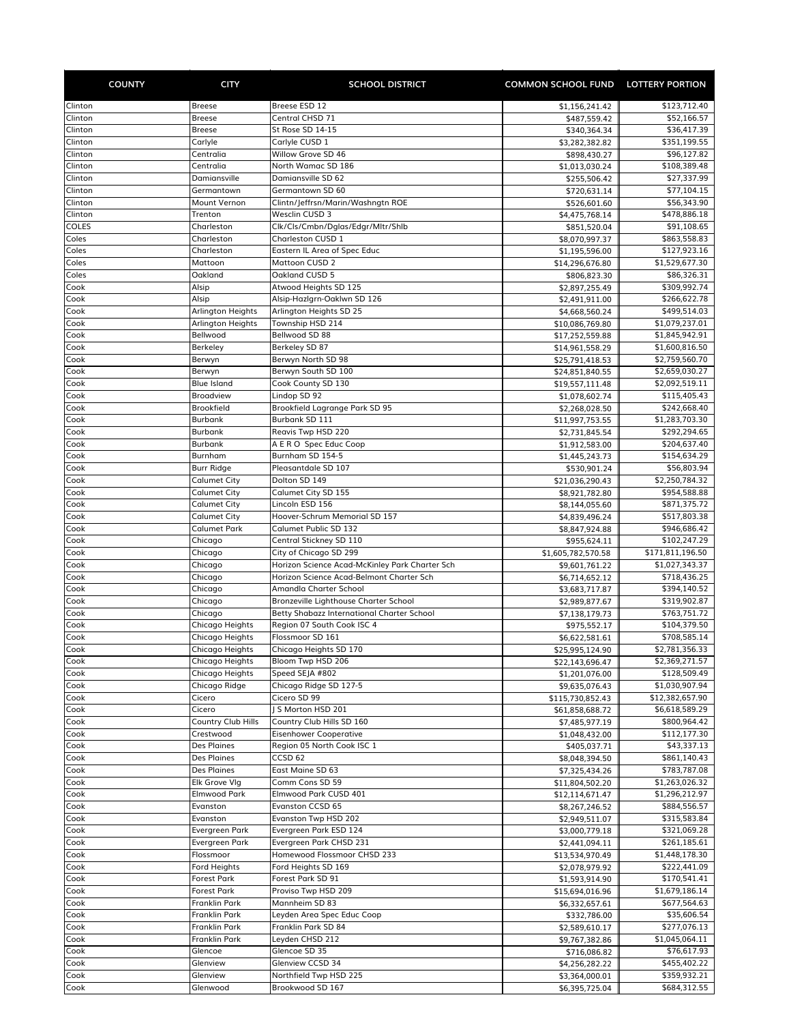| <b>COUNTY</b>      | <b>CITY</b>                              | <b>SCHOOL DISTRICT</b>                                                              | <b>COMMON SCHOOL FUND LOTTERY PORTION</b> |                                |
|--------------------|------------------------------------------|-------------------------------------------------------------------------------------|-------------------------------------------|--------------------------------|
| Clinton            | <b>Breese</b>                            | Breese ESD 12                                                                       | \$1,156,241.42                            | \$123,712.40                   |
| Clinton            | <b>Breese</b>                            | Central CHSD 71                                                                     | \$487,559.42                              | \$52,166.57                    |
| Clinton            | <b>Breese</b>                            | St Rose SD 14-15                                                                    | \$340,364.34                              | \$36,417.39                    |
| Clinton            | Carlyle                                  | Carlyle CUSD 1                                                                      | \$3,282,382.82                            | \$351,199.55                   |
| Clinton            | Centralia                                | Willow Grove SD 46                                                                  | \$898,430.27                              | \$96,127.82                    |
| Clinton            | Centralia                                | North Wamac SD 186                                                                  | \$1,013,030.24                            | \$108,389.48                   |
| Clinton<br>Clinton | Damiansville                             | Damiansville SD 62<br>Germantown SD 60                                              | \$255,506.42                              | \$27,337.99                    |
| Clinton            | Germantown<br>Mount Vernon               | Clintn/Jeffrsn/Marin/Washngtn ROE                                                   | \$720,631.14<br>\$526,601.60              | \$77,104.15<br>\$56,343.90     |
| Clinton            | Trenton                                  | Wesclin CUSD 3                                                                      | \$4,475,768.14                            | \$478,886.18                   |
| COLES              | Charleston                               | Clk/Cls/Cmbn/Dglas/Edgr/Mltr/Shlb                                                   | \$851,520.04                              | \$91,108.65                    |
| Coles              | Charleston                               | Charleston CUSD 1                                                                   | \$8,070,997.37                            | \$863,558.83                   |
| Coles              | Charleston                               | Eastern IL Area of Spec Educ                                                        | \$1,195,596.00                            | \$127,923.16                   |
| Coles              | Mattoon                                  | Mattoon CUSD 2                                                                      | \$14,296,676.80                           | \$1,529,677.30                 |
| Coles              | Oakland                                  | Oakland CUSD 5                                                                      | \$806,823.30                              | \$86,326.31                    |
| Cook               | Alsip                                    | Atwood Heights SD 125                                                               | \$2,897,255.49                            | \$309,992.74                   |
| Cook<br>Cook       | Alsip<br>Arlington Heights               | Alsip-Hazlgrn-Oaklwn SD 126                                                         | \$2,491,911.00                            | \$266,622.78<br>\$499,514.03   |
| Cook               | <b>Arlington Heights</b>                 | Arlington Heights SD 25<br>Township HSD 214                                         | \$4,668,560.24<br>\$10,086,769.80         | \$1,079,237.01                 |
| Cook               | Bellwood                                 | Bellwood SD 88                                                                      | \$17,252,559.88                           | \$1,845,942.91                 |
| Cook               | Berkeley                                 | Berkeley SD 87                                                                      | \$14,961,558.29                           | \$1,600,816.50                 |
| Cook               | Berwyn                                   | Berwyn North SD 98                                                                  | \$25,791,418.53                           | \$2,759,560.70                 |
| Cook               | Berwyn                                   | Berwyn South SD 100                                                                 | \$24,851,840.55                           | \$2,659,030.27                 |
| Cook               | <b>Blue Island</b>                       | Cook County SD 130                                                                  | \$19,557,111.48                           | \$2,092,519.11                 |
| Cook               | <b>Broadview</b>                         | Lindop SD 92                                                                        | \$1,078,602.74                            | \$115,405.43                   |
| Cook               | <b>Brookfield</b>                        | Brookfield Lagrange Park SD 95                                                      | \$2,268,028.50                            | \$242,668.40                   |
| Cook               | Burbank                                  | Burbank SD 111                                                                      | \$11,997,753.55                           | \$1,283,703.30                 |
| Cook               | Burbank                                  | Reavis Twp HSD 220                                                                  | \$2,731,845.54                            | \$292,294.65                   |
| Cook               | Burbank                                  | A E R O Spec Educ Coop                                                              | \$1,912,583.00                            | \$204,637.40                   |
| Cook               | Burnham                                  | Burnham SD 154-5<br>Pleasantdale SD 107                                             | \$1,445,243.73                            | \$154,634.29                   |
| Cook<br>Cook       | <b>Burr Ridge</b><br><b>Calumet City</b> | Dolton SD 149                                                                       | \$530,901.24                              | \$56,803.94<br>\$2,250,784.32  |
| Cook               | Calumet City                             | Calumet City SD 155                                                                 | \$21,036,290.43<br>\$8,921,782.80         | \$954,588.88                   |
| Cook               | Calumet City                             | Lincoln ESD 156                                                                     | \$8,144,055.60                            | \$871,375.72                   |
| Cook               | <b>Calumet City</b>                      | Hoover-Schrum Memorial SD 157                                                       | \$4,839,496.24                            | \$517,803.38                   |
| Cook               | <b>Calumet Park</b>                      | Calumet Public SD 132                                                               | \$8,847,924.88                            | \$946,686.42                   |
| Cook               | Chicago                                  | Central Stickney SD 110                                                             | \$955,624.11                              | \$102,247.29                   |
| Cook               | Chicago                                  | City of Chicago SD 299                                                              | \$1,605,782,570.58                        | \$171,811,196.50               |
| Cook               | Chicago                                  | Horizon Science Acad-McKinley Park Charter Sch                                      | \$9,601,761.22                            | \$1,027,343.37                 |
| Cook               | Chicago                                  | Horizon Science Acad-Belmont Charter Sch                                            | \$6,714,652.12                            | \$718,436.25                   |
| Cook               | Chicago                                  | Amandla Charter School                                                              | \$3,683,717.87                            | \$394,140.52                   |
| Cook<br>Cook       | Chicago                                  | Bronzeville Lighthouse Charter School<br>Betty Shabazz International Charter School | \$2,989,877.67<br>\$7,138,179.73          | \$319,902.87<br>\$763,751.72   |
| Cook               | Chicago<br>Chicago Heights               | Region 07 South Cook ISC 4                                                          | \$975,552.17                              | \$104,379.50                   |
| Cook               | Chicago Heights                          | Flossmoor SD 161                                                                    | \$6,622,581.61                            | \$708,585.14                   |
| Cook               | Chicago Heights                          | Chicago Heights SD 170                                                              | \$25,995,124.90                           | \$2,781,356.33                 |
| Cook               | Chicago Heights                          | Bloom Twp HSD 206                                                                   | \$22,143,696.47                           | \$2,369,271.57                 |
| Cook               | Chicago Heights                          | Speed SEJA #802                                                                     | \$1,201,076.00                            | \$128,509.49                   |
| Cook               | Chicago Ridge                            | Chicago Ridge SD 127-5                                                              | \$9,635,076.43                            | \$1,030,907.94                 |
| Cook               | Cicero                                   | Cicero SD 99                                                                        | \$115,730,852.43                          | \$12,382,657.90                |
| Cook               | Cicero                                   | J S Morton HSD 201                                                                  | \$61,858,688.72                           | \$6,618,589.29                 |
| Cook               | Country Club Hills                       | Country Club Hills SD 160                                                           | \$7,485,977.19                            | \$800,964.42                   |
| Cook               | Crestwood                                | <b>Eisenhower Cooperative</b>                                                       | \$1,048,432.00                            | \$112,177.30                   |
| Cook<br>Cook       | Des Plaines<br>Des Plaines               | Region 05 North Cook ISC 1<br>CCSD 62                                               | \$405,037.71<br>\$8,048,394.50            | \$43,337.13<br>\$861,140.43    |
| Cook               | Des Plaines                              | East Maine SD 63                                                                    | \$7,325,434.26                            | \$783,787.08                   |
| Cook               | Elk Grove Vlg                            | Comm Cons SD 59                                                                     | \$11,804,502.20                           | \$1,263,026.32                 |
| Cook               | <b>Elmwood Park</b>                      | Elmwood Park CUSD 401                                                               | \$12,114,671.47                           | \$1,296,212.97                 |
| Cook               | Evanston                                 | Evanston CCSD 65                                                                    | \$8,267,246.52                            | \$884,556.57                   |
| Cook               | Evanston                                 | Evanston Twp HSD 202                                                                | \$2,949,511.07                            | \$315,583.84                   |
| Cook               | Evergreen Park                           | Evergreen Park ESD 124                                                              | \$3,000,779.18                            | \$321,069.28                   |
| Cook               | Evergreen Park                           | Evergreen Park CHSD 231                                                             | \$2,441,094.11                            | \$261,185.61                   |
| Cook               | Flossmoor                                | Homewood Flossmoor CHSD 233                                                         | \$13,534,970.49                           | \$1,448,178.30                 |
| Cook               | Ford Heights                             | Ford Heights SD 169                                                                 | \$2,078,979.92                            | \$222,441.09                   |
| Cook               | Forest Park                              | Forest Park SD 91                                                                   | \$1,593,914.90                            | \$170,541.41                   |
| Cook<br>Cook       | Forest Park<br>Franklin Park             | Proviso Twp HSD 209<br>Mannheim SD 83                                               | \$15,694,016.96<br>\$6,332,657.61         | \$1,679,186.14<br>\$677,564.63 |
| Cook               | Franklin Park                            | Leyden Area Spec Educ Coop                                                          | \$332,786.00                              | \$35,606.54                    |
| Cook               | Franklin Park                            | Franklin Park SD 84                                                                 | \$2,589,610.17                            | \$277,076.13                   |
| Cook               | Franklin Park                            | Leyden CHSD 212                                                                     | \$9,767,382.86                            | \$1,045,064.11                 |
| Cook               | Glencoe                                  | Glencoe SD 35                                                                       | \$716,086.82                              | \$76,617.93                    |
| Cook               | Glenview                                 | Glenview CCSD 34                                                                    | \$4,256,282.22                            | \$455,402.22                   |
| Cook               | Glenview                                 | Northfield Twp HSD 225                                                              | \$3,364,000.01                            | \$359,932.21                   |
| Cook               | Glenwood                                 | Brookwood SD 167                                                                    | \$6,395,725.04                            | \$684,312.55                   |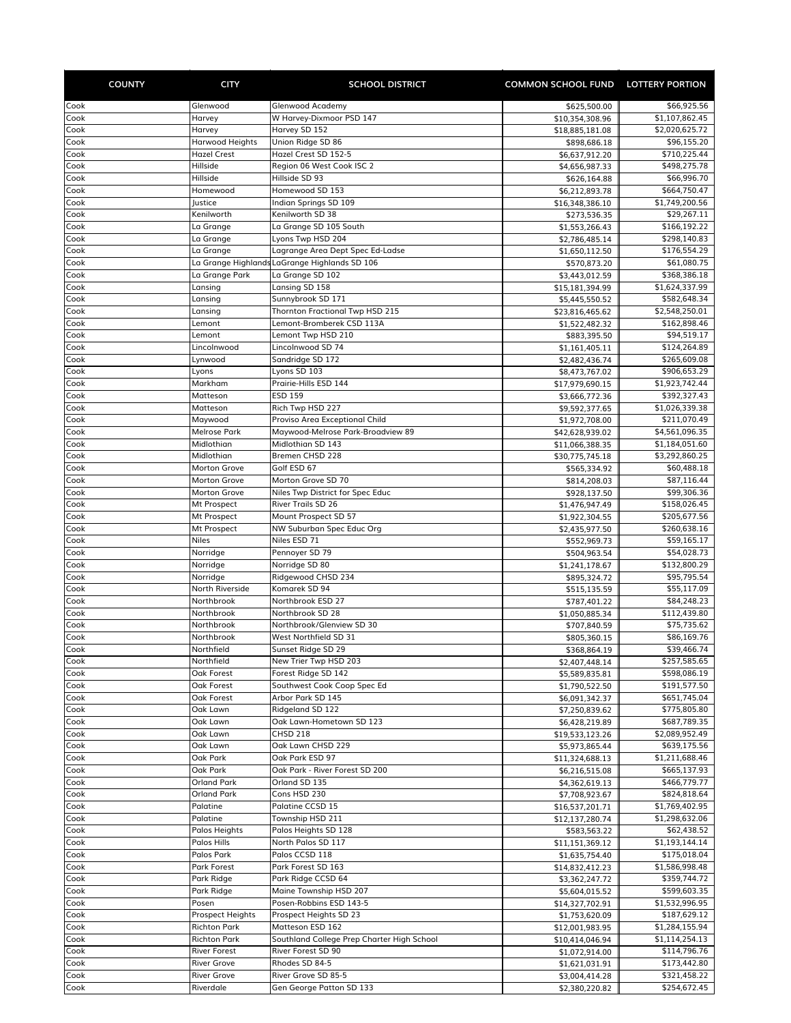| <b>COUNTY</b> | <b>CITY</b>                         | <b>SCHOOL DISTRICT</b>                                            | COMMON SCHOOL FUND LOTTERY PORTION |                                |
|---------------|-------------------------------------|-------------------------------------------------------------------|------------------------------------|--------------------------------|
| Cook          | Glenwood                            | Glenwood Academy                                                  | \$625,500.00                       | \$66,925.56                    |
| Cook          | Harvey                              | W Harvey-Dixmoor PSD 147                                          | \$10,354,308.96                    | \$1,107,862.45                 |
| Cook          | Harvey                              | Harvey SD 152                                                     | \$18,885,181.08                    | \$2,020,625.72                 |
| Cook          | Harwood Heights                     | Union Ridge SD 86                                                 | \$898,686.18                       | \$96,155.20                    |
| Cook          | <b>Hazel Crest</b><br>Hillside      | Hazel Crest SD 152-5<br>Region 06 West Cook ISC 2                 | \$6,637,912.20                     | \$710,225.44                   |
| Cook<br>Cook  | Hillside                            | Hillside SD 93                                                    | \$4,656,987.33<br>\$626,164.88     | \$498,275.78<br>\$66,996.70    |
| Cook          | Homewood                            | Homewood SD 153                                                   | \$6,212,893.78                     | \$664,750.47                   |
| Cook          | Justice                             | Indian Springs SD 109                                             | \$16,348,386.10                    | \$1,749,200.56                 |
| Cook          | Kenilworth                          | Kenilworth SD 38                                                  | \$273,536.35                       | \$29,267.11                    |
| Cook          | La Grange                           | La Grange SD 105 South                                            | \$1,553,266.43                     | \$166,192.22                   |
| Cook          | La Grange                           | Lyons Twp HSD 204                                                 | \$2,786,485.14                     | \$298,140.83                   |
| Cook          | La Grange                           | Lagrange Area Dept Spec Ed-Ladse                                  | \$1,650,112.50                     | \$176,554.29                   |
| Cook<br>Cook  | La Grange Park                      | La Grange Highlands LaGrange Highlands SD 106<br>La Grange SD 102 | \$570,873.20<br>\$3,443,012.59     | \$61,080.75<br>\$368,386.18    |
| Cook          | Lansing                             | Lansing SD 158                                                    | \$15,181,394.99                    | \$1,624,337.99                 |
| Cook          | Lansing                             | Sunnybrook SD 171                                                 | \$5,445,550.52                     | \$582,648.34                   |
| Cook          | Lansing                             | Thornton Fractional Twp HSD 215                                   | \$23,816,465.62                    | \$2,548,250.01                 |
| Cook          | Lemont                              | Lemont-Bromberek CSD 113A                                         | \$1,522,482.32                     | \$162,898.46                   |
| Cook          | Lemont                              | Lemont Twp HSD 210                                                | \$883,395.50                       | \$94,519.17                    |
| Cook          | Lincolnwood                         | Lincolnwood SD 74                                                 | \$1,161,405.11                     | \$124,264.89                   |
| Cook          | Lynwood                             | Sandridge SD 172<br>Lyons SD 103                                  | \$2,482,436.74                     | \$265,609.08<br>\$906,653.29   |
| Cook<br>Cook  | Lyons<br>Markham                    | Prairie-Hills ESD 144                                             | \$8,473,767.02<br>\$17,979,690.15  | \$1,923,742.44                 |
| Cook          | Matteson                            | <b>ESD 159</b>                                                    | \$3,666,772.36                     | \$392,327.43                   |
| Cook          | Matteson                            | Rich Twp HSD 227                                                  | \$9,592,377.65                     | \$1,026,339.38                 |
| Cook          | Maywood                             | Proviso Area Exceptional Child                                    | \$1,972,708.00                     | \$211,070.49                   |
| Cook          | <b>Melrose Park</b>                 | Maywood-Melrose Park-Broadview 89                                 | \$42,628,939.02                    | \$4,561,096.35                 |
| Cook          | Midlothian                          | Midlothian SD 143                                                 | \$11,066,388.35                    | \$1,184,051.60                 |
| Cook          | Midlothian                          | Bremen CHSD 228<br>Golf ESD 67                                    | \$30,775,745.18                    | \$3,292,860.25                 |
| Cook<br>Cook  | <b>Morton Grove</b><br>Morton Grove | Morton Grove SD 70                                                | \$565,334.92<br>\$814,208.03       | \$60,488.18<br>\$87,116.44     |
| Cook          | Morton Grove                        | Niles Twp District for Spec Educ                                  | \$928,137.50                       | \$99,306.36                    |
| Cook          | Mt Prospect                         | <b>River Trails SD 26</b>                                         | \$1,476,947.49                     | \$158,026.45                   |
| Cook          | Mt Prospect                         | Mount Prospect SD 57                                              | \$1,922,304.55                     | \$205,677.56                   |
| Cook          | Mt Prospect                         | NW Suburban Spec Educ Org                                         | \$2,435,977.50                     | \$260,638.16                   |
| Cook          | <b>Niles</b>                        | Niles ESD 71                                                      | \$552,969.73                       | \$59,165.17                    |
| Cook          | Norridge                            | Pennoyer SD 79                                                    | \$504,963.54                       | \$54,028.73                    |
| Cook<br>Cook  | Norridge<br>Norridge                | Norridge SD 80<br>Ridgewood CHSD 234                              | \$1,241,178.67<br>\$895,324.72     | \$132,800.29<br>\$95,795.54    |
| Cook          | North Riverside                     | Komarek SD 94                                                     | \$515,135.59                       | \$55,117.09                    |
| Cook          | Northbrook                          | Northbrook ESD 27                                                 | \$787,401.22                       | \$84,248.23                    |
| Cook          | Northbrook                          | Northbrook SD 28                                                  | \$1,050,885.34                     | \$112,439.80                   |
| Cook          | Northbrook                          | Northbrook/Glenview SD 30                                         | \$707,840.59                       | \$75,735.62                    |
| Cook          | Northbrook                          | West Northfield SD 31                                             | \$805,360.15                       | \$86,169.76                    |
| Cook          | Northfield                          | Sunset Ridge SD 29                                                | \$368,864.19                       | \$39,466.74                    |
| Cook<br>Cook  | Northfield<br>Oak Forest            | New Trier Twp HSD 203<br>Forest Ridge SD 142                      | \$2,407,448.14<br>\$5,589,835.81   | \$257,585.65<br>\$598,086.19   |
| Cook          | Oak Forest                          | Southwest Cook Coop Spec Ed                                       | \$1,790,522.50                     | \$191,577.50                   |
| Cook          | Oak Forest                          | Arbor Park SD 145                                                 | \$6,091,342.37                     | \$651,745.04                   |
| Cook          | Oak Lawn                            | Ridgeland SD 122                                                  | \$7,250,839.62                     | \$775,805.80                   |
| Cook          | Oak Lawn                            | Oak Lawn-Hometown SD 123                                          | \$6,428,219.89                     | \$687,789.35                   |
| Cook          | Oak Lawn                            | <b>CHSD 218</b>                                                   | \$19,533,123.26                    | \$2,089,952.49                 |
| Cook          | Oak Lawn                            | Oak Lawn CHSD 229                                                 | \$5,973,865.44                     | \$639,175.56                   |
| Cook<br>Cook  | Oak Park<br>Oak Park                | Oak Park ESD 97<br>Oak Park - River Forest SD 200                 | \$11,324,688.13<br>\$6,216,515.08  | \$1,211,688.46<br>\$665,137.93 |
| Cook          | <b>Orland Park</b>                  | Orland SD 135                                                     | \$4,362,619.13                     | \$466,779.77                   |
| Cook          | Orland Park                         | Cons HSD 230                                                      | \$7,708,923.67                     | \$824,818.64                   |
| Cook          | Palatine                            | Palatine CCSD 15                                                  | \$16,537,201.71                    | \$1,769,402.95                 |
| Cook          | Palatine                            | Township HSD 211                                                  | \$12,137,280.74                    | \$1,298,632.06                 |
| Cook          | Palos Heights                       | Palos Heights SD 128                                              | \$583,563.22                       | \$62,438.52                    |
| Cook          | Palos Hills                         | North Palos SD 117                                                | \$11,151,369.12                    | \$1,193,144.14                 |
| Cook<br>Cook  | Palos Park<br>Park Forest           | Palos CCSD 118<br>Park Forest SD 163                              | \$1,635,754.40                     | \$175,018.04<br>\$1,586,998.48 |
| Cook          | Park Ridge                          | Park Ridge CCSD 64                                                | \$14,832,412.23<br>\$3,362,247.72  | \$359,744.72                   |
| Cook          | Park Ridge                          | Maine Township HSD 207                                            | \$5,604,015.52                     | \$599,603.35                   |
| Cook          | Posen                               | Posen-Robbins ESD 143-5                                           | \$14,327,702.91                    | \$1,532,996.95                 |
| Cook          | Prospect Heights                    | Prospect Heights SD 23                                            | \$1,753,620.09                     | \$187,629.12                   |
| Cook          | <b>Richton Park</b>                 | Matteson ESD 162                                                  | \$12,001,983.95                    | \$1,284,155.94                 |
| Cook          | <b>Richton Park</b>                 | Southland College Prep Charter High School                        | \$10,414,046.94                    | \$1,114,254.13                 |
| Cook          | <b>River Forest</b>                 | River Forest SD 90                                                | \$1,072,914.00                     | \$114,796.76                   |
| Cook<br>Cook  | River Grove<br><b>River Grove</b>   | Rhodes SD 84-5<br>River Grove SD 85-5                             | \$1,621,031.91<br>\$3,004,414.28   | \$173,442.80<br>\$321,458.22   |
| Cook          | Riverdale                           | Gen George Patton SD 133                                          | \$2,380,220.82                     | \$254,672.45                   |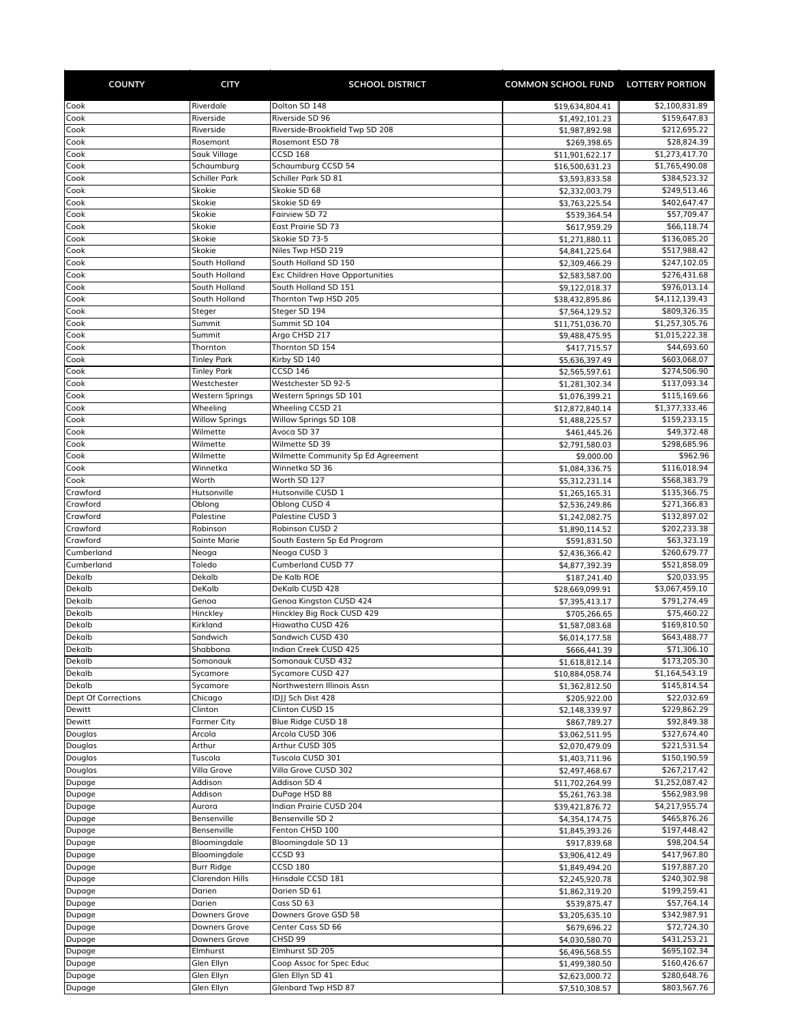| <b>COUNTY</b>              | <b>CITY</b>                        | <b>SCHOOL DISTRICT</b>                                         | <b>COMMON SCHOOL FUND LOTTERY PORTION</b> |                                |
|----------------------------|------------------------------------|----------------------------------------------------------------|-------------------------------------------|--------------------------------|
| Cook                       | Riverdale                          | Dolton SD 148                                                  | \$19,634,804.41                           | \$2,100,831.89                 |
| Cook                       | Riverside                          | Riverside SD 96                                                | \$1,492,101.23                            | \$159,647.83                   |
| Cook                       | Riverside                          | Riverside-Brookfield Twp SD 208                                | \$1,987,892.98                            | \$212,695.22                   |
| Cook                       | Rosemont                           | Rosemont ESD 78                                                | \$269,398.65                              | \$28,824.39                    |
| Cook                       | Sauk Village                       | <b>CCSD 168</b>                                                | \$11,901,622.17                           | \$1,273,417.70                 |
| Cook<br>Cook               | Schaumburg<br><b>Schiller Park</b> | Schaumburg CCSD 54<br>Schiller Park SD 81                      | \$16,500,631.23                           | \$1,765,490.08<br>\$384,523.32 |
| Cook                       | Skokie                             | Skokie SD 68                                                   | \$3,593,833.58<br>\$2,332,003.79          | \$249,513.46                   |
| Cook                       | Skokie                             | Skokie SD 69                                                   | \$3,763,225.54                            | \$402,647.47                   |
| Cook                       | Skokie                             | Fairview SD 72                                                 | \$539,364.54                              | \$57,709.47                    |
| Cook                       | Skokie                             | East Prairie SD 73                                             | \$617,959.29                              | \$66,118.74                    |
| Cook                       | Skokie                             | Skokie SD 73-5                                                 | \$1,271,880.11                            | \$136,085.20                   |
| Cook                       | Skokie                             | Niles Twp HSD 219                                              | \$4,841,225.64                            | \$517,988.42                   |
| Cook                       | South Holland                      | South Holland SD 150                                           | \$2,309,466.29                            | \$247,102.05                   |
| Cook<br>Cook               | South Holland<br>South Holland     | <b>Exc Children Have Opportunities</b><br>South Holland SD 151 | \$2,583,587.00<br>\$9,122,018.37          | \$276,431.68<br>\$976,013.14   |
| Cook                       | South Holland                      | Thornton Twp HSD 205                                           | \$38,432,895.86                           | \$4,112,139.43                 |
| Cook                       | Steger                             | Steger SD 194                                                  | \$7,564,129.52                            | \$809,326.35                   |
| Cook                       | Summit                             | Summit SD 104                                                  | \$11,751,036.70                           | \$1,257,305.76                 |
| Cook                       | Summit                             | Argo CHSD 217                                                  | \$9,488,475.95                            | \$1,015,222.38                 |
| Cook                       | Thornton                           | Thornton SD 154                                                | \$417,715.57                              | \$44,693.60                    |
| Cook                       | <b>Tinley Park</b>                 | Kirby SD 140                                                   | \$5,636,397.49                            | \$603,068.07                   |
| Cook                       | <b>Tinley Park</b>                 | CCSD 146                                                       | \$2,565,597.61                            | \$274,506.90                   |
| Cook<br>Cook               | Westchester<br>Western Springs     | Westchester SD 92-5<br>Western Springs SD 101                  | \$1,281,302.34<br>\$1,076,399.21          | \$137,093.34<br>\$115,169.66   |
| Cook                       | Wheeling                           | <b>Wheeling CCSD 21</b>                                        | \$12,872,840.14                           | \$1,377,333.46                 |
| Cook                       | <b>Willow Springs</b>              | Willow Springs SD 108                                          | \$1,488,225.57                            | \$159,233.15                   |
| Cook                       | Wilmette                           | Avoca SD 37                                                    | \$461,445.26                              | \$49,372.48                    |
| Cook                       | Wilmette                           | Wilmette SD 39                                                 | \$2,791,580.03                            | \$298,685.96                   |
| Cook                       | Wilmette                           | Wilmette Community Sp Ed Agreement                             | \$9,000.00                                | \$962.96                       |
| Cook                       | Winnetka                           | Winnetka SD 36                                                 | \$1,084,336.75                            | \$116,018.94                   |
| Cook                       | Worth                              | Worth SD 127                                                   | \$5,312,231.14                            | \$568,383.79                   |
| Crawford<br>Crawford       | Hutsonville<br>Oblong              | Hutsonville CUSD 1<br>Oblong CUSD 4                            | \$1,265,165.31                            | \$135,366.75<br>\$271,366.83   |
| Crawford                   | Palestine                          | Palestine CUSD 3                                               | \$2,536,249.86<br>\$1,242,082.75          | \$132,897.02                   |
| Crawford                   | Robinson                           | Robinson CUSD 2                                                | \$1,890,114.52                            | \$202,233.38                   |
| Crawford                   | <b>Sainte Marie</b>                | South Eastern Sp Ed Program                                    | \$591,831.50                              | \$63,323.19                    |
| Cumberland                 | Neoga                              | Neoga CUSD 3                                                   | \$2,436,366.42                            | \$260,679.77                   |
| Cumberland                 | Toledo                             | <b>Cumberland CUSD 77</b>                                      | \$4,877,392.39                            | \$521,858.09                   |
| Dekalb                     | Dekalb                             | De Kalb ROE                                                    | \$187,241.40                              | \$20,033.95                    |
| Dekalb                     | DeKalb                             | DeKalb CUSD 428                                                | \$28,669,099.91                           | \$3,067,459.10                 |
| Dekalb<br>Dekalb           | Genoa<br>Hinckley                  | Genoa Kingston CUSD 424<br>Hinckley Big Rock CUSD 429          | \$7,395,413.17<br>\$705,266.65            | \$791,274.49<br>\$75,460.22    |
| Dekalb                     | Kirkland                           | Hiawatha CUSD 426                                              | \$1,587,083.68                            | \$169,810.50                   |
| Dekalb                     | Sandwich                           | Sandwich CUSD 430                                              | \$6,014,177.58                            | \$643,488.77                   |
| Dekalb                     | Shabbona                           | Indian Creek CUSD 425                                          | \$666,441.39                              | \$71,306.10                    |
| Dekalb                     | Somonauk                           | Somonauk CUSD 432                                              | \$1,618,812.14                            | \$173,205.30                   |
| Dekalb                     | Sycamore                           | Sycamore CUSD 427                                              | \$10,884,058.74                           | \$1,164,543.19                 |
| Dekalb                     | Sycamore                           | Northwestern Illinois Assn                                     | \$1,362,812.50                            | \$145,814.54                   |
| <b>Dept Of Corrections</b> | Chicago                            | IDJJ Sch Dist 428                                              | \$205,922.00                              | \$22,032.69                    |
| Dewitt<br>Dewitt           | Clinton<br><b>Farmer City</b>      | Clinton CUSD 15<br>Blue Ridge CUSD 18                          | \$2,148,339.97<br>\$867,789.27            | \$229,862.29<br>\$92,849.38    |
| Douglas                    | Arcola                             | Arcola CUSD 306                                                | \$3,062,511.95                            | \$327,674.40                   |
| Douglas                    | Arthur                             | Arthur CUSD 305                                                | \$2,070,479.09                            | \$221,531.54                   |
| Douglas                    | Tuscola                            | Tuscola CUSD 301                                               | \$1,403,711.96                            | \$150,190.59                   |
| Douglas                    | Villa Grove                        | Villa Grove CUSD 302                                           | \$2,497,468.67                            | \$267,217.42                   |
| Dupage                     | Addison                            | Addison SD 4                                                   | \$11,702,264.99                           | \$1,252,087.42                 |
| Dupage                     | Addison                            | DuPage HSD 88                                                  | \$5,261,763.38                            | \$562,983.98                   |
| Dupage                     | Aurora                             | Indian Prairie CUSD 204                                        | \$39,421,876.72                           | \$4,217,955.74                 |
| Dupage<br>Dupage           | Bensenville<br>Bensenville         | Bensenville SD 2<br>Fenton CHSD 100                            | \$4,354,174.75                            | \$465,876.26<br>\$197,448.42   |
| Dupage                     | Bloomingdale                       | Bloomingdale SD 13                                             | \$1,845,393.26<br>\$917,839.68            | \$98,204.54                    |
| Dupage                     | Bloomingdale                       | CCSD 93                                                        | \$3,906,412.49                            | \$417,967.80                   |
| Dupage                     | Burr Ridge                         | <b>CCSD 180</b>                                                | \$1,849,494.20                            | \$197,887.20                   |
| Dupage                     | <b>Clarendon Hills</b>             | Hinsdale CCSD 181                                              | \$2,245,920.78                            | \$240,302.98                   |
| Dupage                     | Darien                             | Darien SD 61                                                   | \$1,862,319.20                            | \$199,259.41                   |
| Dupage                     | Darien                             | Cass SD 63                                                     | \$539,875.47                              | \$57,764.14                    |
| Dupage                     | Downers Grove                      | Downers Grove GSD 58                                           | \$3,205,635.10                            | \$342,987.91                   |
| Dupage                     | Downers Grove                      | Center Cass SD 66                                              | \$679,696.22                              | \$72,724.30                    |
| Dupage                     | Downers Grove                      | CHSD 99                                                        | \$4,030,580.70                            | \$431,253.21                   |
| Dupage<br>Dupage           | Elmhurst<br>Glen Ellyn             | Elmhurst SD 205<br>Coop Assoc for Spec Educ                    | \$6,496,568.55<br>\$1,499,380.50          | \$695,102.34<br>\$160,426.67   |
| Dupage                     | Glen Ellyn                         | Glen Ellyn SD 41                                               | \$2,623,000.72                            | \$280,648.76                   |
| Dupage                     | Glen Ellyn                         | Glenbard Twp HSD 87                                            | \$7,510,308.57                            | \$803,567.76                   |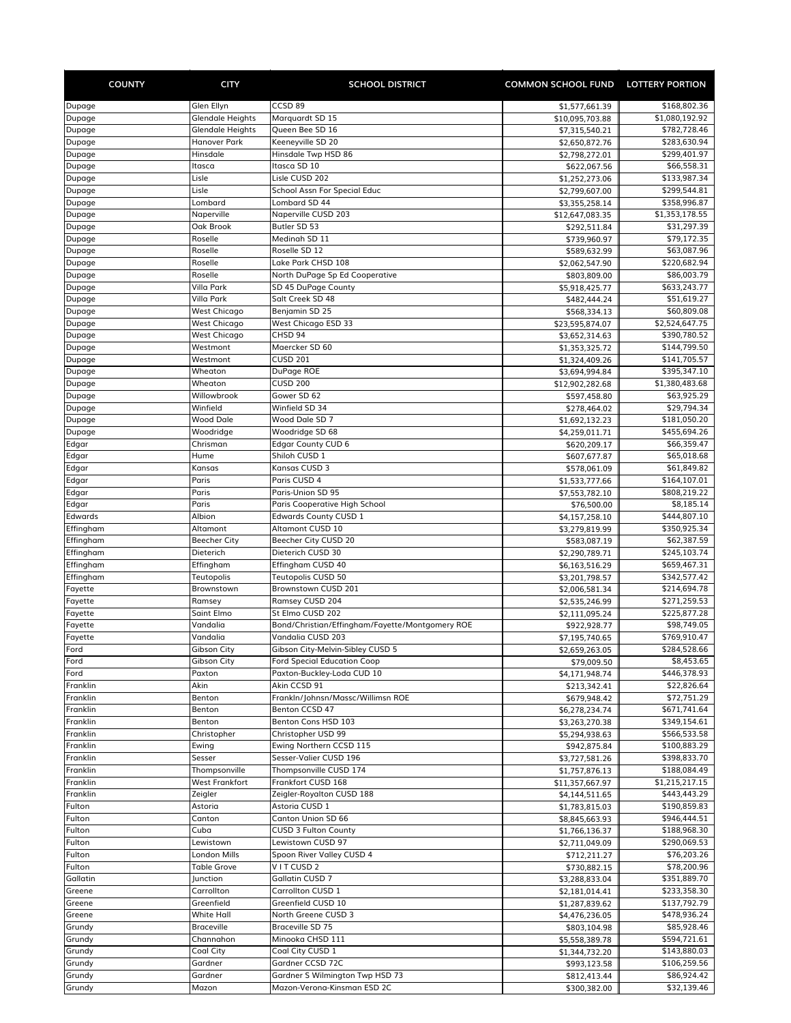| <b>COUNTY</b>        | <b>CITY</b>                | <b>SCHOOL DISTRICT</b>                            | COMMON SCHOOL FUND LOTTERY PORTION |                              |
|----------------------|----------------------------|---------------------------------------------------|------------------------------------|------------------------------|
| Dupage               | Glen Ellyn                 | CCSD 89                                           | \$1,577,661.39                     | \$168,802.36                 |
| Dupage               | <b>Glendale Heights</b>    | Marquardt SD 15                                   | \$10,095,703.88                    | \$1,080,192.92               |
| Dupage               | <b>Glendale Heights</b>    | Queen Bee SD 16                                   | \$7,315,540.21                     | \$782,728.46                 |
| Dupage               | Hanover Park               | Keeneyville SD 20                                 | \$2,650,872.76                     | \$283,630.94                 |
| Dupage               | Hinsdale                   | Hinsdale Twp HSD 86                               | \$2,798,272.01                     | \$299,401.97                 |
| Dupage               | Itasca<br>Lisle            | Itasca SD 10<br>Lisle CUSD 202                    | \$622,067.56                       | \$66,558.31<br>\$133,987.34  |
| Dupage<br>Dupage     | Lisle                      | School Assn For Special Educ                      | \$1,252,273.06<br>\$2,799,607.00   | \$299,544.81                 |
| Dupage               | Lombard                    | Lombard SD 44                                     | \$3,355,258.14                     | \$358,996.87                 |
| Dupage               | Naperville                 | Naperville CUSD 203                               | \$12,647,083.35                    | \$1,353,178.55               |
| Dupage               | Oak Brook                  | Butler SD 53                                      | \$292,511.84                       | \$31,297.39                  |
| Dupage               | Roselle                    | Medinah SD 11                                     | \$739,960.97                       | \$79,172.35                  |
| Dupage               | Roselle                    | Roselle SD 12                                     | \$589,632.99                       | \$63,087.96                  |
| Dupage               | Roselle                    | Lake Park CHSD 108                                | \$2,062,547.90                     | \$220,682.94                 |
| Dupage               | Roselle                    | North DuPage Sp Ed Cooperative                    | \$803,809.00                       | \$86,003.79                  |
| Dupage               | Villa Park                 | SD 45 DuPage County                               | \$5,918,425.77                     | \$633,243.77                 |
| Dupage<br>Dupage     | Villa Park<br>West Chicago | Salt Creek SD 48<br>Benjamin SD 25                | \$482,444.24                       | \$51,619.27<br>\$60,809.08   |
| Dupage               | <b>West Chicago</b>        | West Chicago ESD 33                               | \$568,334.13<br>\$23,595,874.07    | \$2,524,647.75               |
| Dupage               | <b>West Chicago</b>        | CHSD 94                                           | \$3,652,314.63                     | \$390,780.52                 |
| Dupage               | Westmont                   | Maercker SD 60                                    | \$1,353,325.72                     | \$144,799.50                 |
| Dupage               | Westmont                   | <b>CUSD 201</b>                                   | \$1,324,409.26                     | \$141,705.57                 |
| Dupage               | Wheaton                    | DuPage ROE                                        | \$3,694,994.84                     | \$395,347.10                 |
| Dupage               | Wheaton                    | <b>CUSD 200</b>                                   | \$12,902,282.68                    | \$1,380,483.68               |
| Dupage               | Willowbrook                | Gower SD 62                                       | \$597,458.80                       | \$63,925.29                  |
| Dupage               | Winfield                   | Winfield SD 34                                    | \$278,464.02                       | \$29,794.34                  |
| Dupage               | <b>Wood Dale</b>           | Wood Dale SD 7                                    | \$1,692,132.23                     | \$181,050.20                 |
| Dupage               | Woodridge                  | Woodridge SD 68                                   | \$4,259,011.71                     | \$455,694.26                 |
| Edgar                | Chrisman                   | <b>Edgar County CUD 6</b>                         | \$620,209.17                       | \$66,359.47                  |
| Edgar<br>Edgar       | Hume                       | Shiloh CUSD 1<br>Kansas CUSD 3                    | \$607,677.87                       | \$65,018.68<br>\$61,849.82   |
| Edgar                | Kansas<br>Paris            | Paris CUSD 4                                      | \$578,061.09                       | \$164,107.01                 |
| Edgar                | Paris                      | Paris-Union SD 95                                 | \$1,533,777.66<br>\$7,553,782.10   | \$808,219.22                 |
| Edgar                | Paris                      | Paris Cooperative High School                     | \$76,500.00                        | \$8,185.14                   |
| Edwards              | Albion                     | <b>Edwards County CUSD 1</b>                      | \$4,157,258.10                     | \$444,807.10                 |
| Effingham            | Altamont                   | Altamont CUSD 10                                  | \$3,279,819.99                     | \$350,925.34                 |
| Effingham            | <b>Beecher City</b>        | Beecher City CUSD 20                              | \$583,087.19                       | \$62,387.59                  |
| Effingham            | Dieterich                  | Dieterich CUSD 30                                 | \$2,290,789.71                     | \$245,103.74                 |
| Effingham            | Effingham                  | Effingham CUSD 40                                 | \$6,163,516.29                     | \$659,467.31                 |
| Effingham            | Teutopolis                 | Teutopolis CUSD 50                                | \$3,201,798.57                     | \$342,577.42                 |
| Fayette              | Brownstown                 | Brownstown CUSD 201                               | \$2,006,581.34                     | \$214,694.78                 |
| Fayette              | Ramsey                     | Ramsey CUSD 204<br>St Elmo CUSD 202               | \$2,535,246.99                     | \$271,259.53                 |
| Fayette<br>Fayette   | Saint Elmo<br>Vandalia     | Bond/Christian/Effingham/Fayette/Montgomery ROE   | \$2,111,095.24<br>\$922,928.77     | \$225,877.28<br>\$98,749.05  |
| Fayette              | Vandalia                   | Vandalia CUSD 203                                 | \$7,195,740.65                     | \$769,910.47                 |
| Ford                 | <b>Gibson City</b>         | Gibson City-Melvin-Sibley CUSD 5                  | \$2,659,263.05                     | \$284,528.66                 |
| Ford                 | Gibson City                | <b>Ford Special Education Coop</b>                | \$79,009.50                        | \$8,453.65                   |
| Ford                 | Paxton                     | Paxton-Buckley-Loda CUD 10                        | \$4,171,948.74                     | \$446,378.93                 |
| Franklin             | Akin                       | Akin CCSD 91                                      | \$213,342.41                       | \$22,826.64                  |
| Franklin             | Benton                     | Frankln/Johnsn/Massc/Willimsn ROE                 | \$679,948.42                       | \$72,751.29                  |
| Franklin             | Benton                     | Benton CCSD 47                                    | \$6,278,234.74                     | \$671,741.64                 |
| Franklin             | Benton                     | Benton Cons HSD 103                               | \$3,263,270.38                     | \$349,154.61                 |
| Franklin             | Christopher                | Christopher USD 99                                | \$5,294,938.63                     | \$566,533.58                 |
| Franklin<br>Franklin | Ewing                      | Ewing Northern CCSD 115<br>Sesser-Valier CUSD 196 | \$942,875.84                       | \$100,883.29<br>\$398,833.70 |
| Franklin             | Sesser<br>Thompsonville    | Thompsonville CUSD 174                            | \$3,727,581.26<br>\$1,757,876.13   | \$188,084.49                 |
| Franklin             | West Frankfort             | Frankfort CUSD 168                                | \$11,357,667.97                    | \$1,215,217.15               |
| Franklin             | Zeigler                    | Zeigler-Royalton CUSD 188                         | \$4,144,511.65                     | \$443,443.29                 |
| Fulton               | Astoria                    | Astoria CUSD 1                                    | \$1,783,815.03                     | \$190,859.83                 |
| Fulton               | Canton                     | Canton Union SD 66                                | \$8,845,663.93                     | \$946,444.51                 |
| Fulton               | Cuba                       | <b>CUSD 3 Fulton County</b>                       | \$1,766,136.37                     | \$188,968.30                 |
| Fulton               | Lewistown                  | Lewistown CUSD 97                                 | \$2,711,049.09                     | \$290,069.53                 |
| Fulton               | London Mills               | Spoon River Valley CUSD 4                         | \$712,211.27                       | \$76,203.26                  |
| Fulton               | Table Grove                | VITCUSD <sub>2</sub>                              | \$730,882.15                       | \$78,200.96                  |
| Gallatin             | Junction                   | Gallatin CUSD 7                                   | \$3,288,833.04                     | \$351,889.70                 |
| Greene               | Carrollton                 | Carrollton CUSD 1                                 | \$2,181,014.41                     | \$233,358.30                 |
| Greene               | Greenfield<br>White Hall   | Greenfield CUSD 10<br>North Greene CUSD 3         | \$1,287,839.62                     | \$137,792.79<br>\$478,936.24 |
| Greene<br>Grundy     | <b>Braceville</b>          | Braceville SD 75                                  | \$4,476,236.05<br>\$803,104.98     | \$85,928.46                  |
| Grundy               | Channahon                  | Minooka CHSD 111                                  | \$5,558,389.78                     | \$594,721.61                 |
| Grundy               | Coal City                  | Coal City CUSD 1                                  | \$1,344,732.20                     | \$143,880.03                 |
| Grundy               | Gardner                    | Gardner CCSD 72C                                  | \$993,123.58                       | \$106,259.56                 |
| Grundy               | Gardner                    | Gardner S Wilmington Twp HSD 73                   | \$812,413.44                       | \$86,924.42                  |
| Grundy               | Mazon                      | Mazon-Verona-Kinsman ESD 2C                       | \$300,382.00                       | \$32,139.46                  |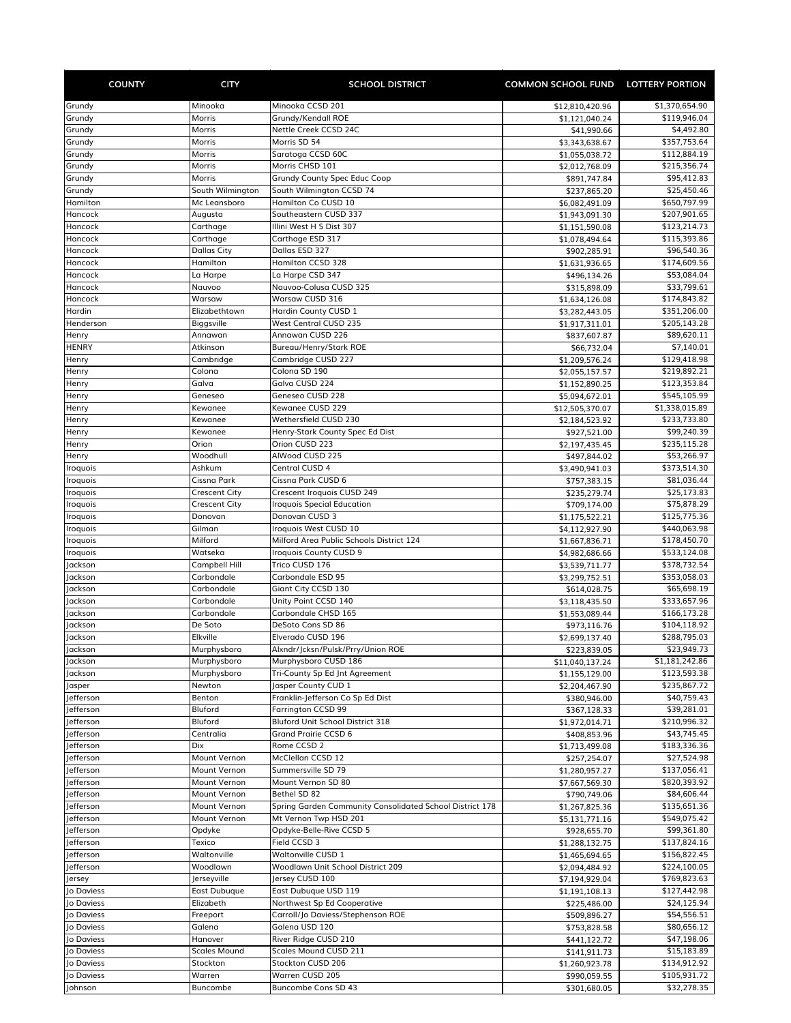| <b>COUNTY</b>            | <b>CITY</b>                                  | <b>SCHOOL DISTRICT</b>                                                            | COMMON SCHOOL FUND LOTTERY PORTION |                              |
|--------------------------|----------------------------------------------|-----------------------------------------------------------------------------------|------------------------------------|------------------------------|
| Grundy                   | Minooka                                      | Minooka CCSD 201                                                                  | \$12,810,420.96                    | \$1,370,654.90               |
| Grundy                   | Morris                                       | Grundy/Kendall ROE                                                                | \$1,121,040.24                     | \$119,946.04                 |
| Grundy                   | Morris                                       | Nettle Creek CCSD 24C                                                             | \$41,990.66                        | \$4,492.80                   |
| Grundy                   | Morris                                       | Morris SD 54                                                                      | \$3,343,638.67                     | \$357,753.64                 |
| Grundy                   | Morris                                       | Saratoga CCSD 60C                                                                 | \$1,055,038.72                     | \$112,884.19                 |
| Grundy<br>Grundy         | Morris<br>Morris                             | Morris CHSD 101<br>Grundy County Spec Educ Coop                                   | \$2,012,768.09                     | \$215,356.74<br>\$95,412.83  |
| Grundy                   | South Wilmington                             | South Wilmington CCSD 74                                                          | \$891,747.84<br>\$237,865.20       | \$25,450.46                  |
| Hamilton                 | Mc Leansboro                                 | Hamilton Co CUSD 10                                                               | \$6,082,491.09                     | \$650,797.99                 |
| Hancock                  | Augusta                                      | Southeastern CUSD 337                                                             | \$1,943,091.30                     | \$207,901.65                 |
| Hancock                  | Carthage                                     | Illini West H S Dist 307                                                          | \$1,151,590.08                     | \$123,214.73                 |
| Hancock                  | Carthage                                     | Carthage ESD 317                                                                  | \$1,078,494.64                     | \$115,393.86                 |
| Hancock                  | <b>Dallas City</b>                           | Dallas ESD 327                                                                    | \$902,285.91                       | \$96,540.36                  |
| Hancock<br>Hancock       | Hamilton<br>La Harpe                         | Hamilton CCSD 328<br>La Harpe CSD 347                                             | \$1,631,936.65                     | \$174,609.56<br>\$53,084.04  |
| Hancock                  | Nauvoo                                       | Nauvoo-Colusa CUSD 325                                                            | \$496,134.26<br>\$315,898.09       | \$33,799.61                  |
| Hancock                  | Warsaw                                       | Warsaw CUSD 316                                                                   | \$1,634,126.08                     | \$174,843.82                 |
| Hardin                   | Elizabethtown                                | Hardin County CUSD 1                                                              | \$3,282,443.05                     | \$351,206.00                 |
| Henderson                | Biggsville                                   | West Central CUSD 235                                                             | \$1,917,311.01                     | \$205,143.28                 |
| Henry                    | Annawan                                      | Annawan CUSD 226                                                                  | \$837,607.87                       | \$89,620.11                  |
| <b>HENRY</b>             | Atkinson                                     | Bureau/Henry/Stark ROE                                                            | \$66,732.04                        | \$7,140.01                   |
| Henry                    | Cambridge                                    | Cambridge CUSD 227                                                                | \$1,209,576.24                     | \$129,418.98                 |
| Henry                    | Colona                                       | Colona SD 190<br>Galva CUSD 224                                                   | \$2,055,157.57                     | \$219,892.21                 |
| Henry<br>Henry           | Galva<br>Geneseo                             | Geneseo CUSD 228                                                                  | \$1,152,890.25<br>\$5,094,672.01   | \$123,353.84<br>\$545,105.99 |
| Henry                    | Kewanee                                      | Kewanee CUSD 229                                                                  | \$12,505,370.07                    | \$1,338,015.89               |
| Henry                    | Kewanee                                      | Wethersfield CUSD 230                                                             | \$2,184,523.92                     | \$233,733.80                 |
| Henry                    | Kewanee                                      | Henry-Stark County Spec Ed Dist                                                   | \$927,521.00                       | \$99,240.39                  |
| Henry                    | Orion                                        | Orion CUSD 223                                                                    | \$2,197,435.45                     | \$235,115.28                 |
| Henry                    | Woodhull                                     | AlWood CUSD 225                                                                   | \$497,844.02                       | \$53,266.97                  |
| Iroquois                 | Ashkum                                       | Central CUSD 4                                                                    | \$3,490,941.03                     | \$373,514.30                 |
| Iroquois                 | Cissna Park                                  | Cissna Park CUSD 6                                                                | \$757,383.15                       | \$81,036.44                  |
| Iroquois<br>Iroquois     | <b>Crescent City</b><br><b>Crescent City</b> | Crescent Iroquois CUSD 249<br><b>Iroquois Special Education</b>                   | \$235,279.74                       | \$25,173.83<br>\$75,878.29   |
| Iroquois                 | Donovan                                      | Donovan CUSD 3                                                                    | \$709,174.00<br>\$1,175,522.21     | \$125,775.36                 |
| Iroquois                 | Gilman                                       | Iroquois West CUSD 10                                                             | \$4,112,927.90                     | \$440,063.98                 |
| Iroquois                 | Milford                                      | Milford Area Public Schools District 124                                          | \$1,667,836.71                     | \$178,450.70                 |
| Iroquois                 | Watseka                                      | Iroquois County CUSD 9                                                            | \$4,982,686.66                     | \$533,124.08                 |
| Jackson                  | Campbell Hill                                | Trico CUSD 176                                                                    | \$3,539,711.77                     | \$378,732.54                 |
| Jackson                  | Carbondale                                   | Carbondale ESD 95                                                                 | \$3,299,752.51                     | \$353,058.03                 |
| Jackson                  | Carbondale                                   | Giant City CCSD 130                                                               | \$614,028.75                       | \$65,698.19                  |
| Jackson<br>Jackson       | Carbondale<br>Carbondale                     | Unity Point CCSD 140<br>Carbondale CHSD 165                                       | \$3,118,435.50<br>\$1,553,089.44   | \$333,657.96<br>\$166,173.28 |
| Jackson                  | De Soto                                      | DeSoto Cons SD 86                                                                 | \$973,116.76                       | \$104,118.92                 |
| Jackson                  | Elkville                                     | Elverado CUSD 196                                                                 | \$2,699,137.40                     | \$288,795.03                 |
| Jackson                  | Murphysboro                                  | Alxndr/Icksn/Pulsk/Prrv/Union ROE                                                 | \$223,839.05                       | \$23,949.73                  |
| Jackson                  | Murphysboro                                  | Murphysboro CUSD 186                                                              | \$11,040,137.24                    | \$1,181,242.86               |
| Jackson                  | Murphysboro                                  | Tri-County Sp Ed Jnt Agreement                                                    | \$1,155,129.00                     | \$123,593.38                 |
| Jasper                   | Newton                                       | Jasper County CUD 1                                                               | \$2,204,467.90                     | \$235,867.72                 |
| Jefferson                | Benton                                       | Franklin-Jefferson Co Sp Ed Dist                                                  | \$380,946.00                       | \$40,759.43                  |
| Jefferson<br>lefferson   | Bluford<br>Bluford                           | Farrington CCSD 99<br>Bluford Unit School District 318                            | \$367,128.33                       | \$39,281.01<br>\$210,996.32  |
| Jefferson                | Centralia                                    | Grand Prairie CCSD 6                                                              | \$1,972,014.71<br>\$408,853.96     | \$43,745.45                  |
| Jefferson                | Dix                                          | Rome CCSD 2                                                                       | \$1,713,499.08                     | \$183,336.36                 |
| Jefferson                | Mount Vernon                                 | McClellan CCSD 12                                                                 | \$257,254.07                       | \$27,524.98                  |
| Jefferson                | Mount Vernon                                 | Summersville SD 79                                                                | \$1,280,957.27                     | \$137,056.41                 |
| Jefferson                | Mount Vernon                                 | Mount Vernon SD 80                                                                | \$7,667,569.30                     | \$820,393.92                 |
| Jefferson                | Mount Vernon                                 | Bethel SD 82                                                                      | \$790,749.06                       | \$84,606.44                  |
| Jefferson                | Mount Vernon                                 | Spring Garden Community Consolidated School District 178<br>Mt Vernon Twp HSD 201 | \$1,267,825.36                     | \$135,651.36                 |
| Jefferson<br>Jefferson   | Mount Vernon<br>Opdyke                       | Opdyke-Belle-Rive CCSD 5                                                          | \$5,131,771.16                     | \$549,075.42<br>\$99,361.80  |
| Jefferson                | Texico                                       | Field CCSD 3                                                                      | \$928,655.70<br>\$1,288,132.75     | \$137,824.16                 |
| Jefferson                | Waltonville                                  | Waltonville CUSD 1                                                                | \$1,465,694.65                     | \$156,822.45                 |
| Jefferson                | Woodlawn                                     | Woodlawn Unit School District 209                                                 | \$2,094,484.92                     | \$224,100.05                 |
| Jersey                   | Jerseyville                                  | Jersey CUSD 100                                                                   | \$7,194,929.04                     | \$769,823.63                 |
| Jo Daviess               | East Dubuque                                 | East Dubuque USD 119                                                              | \$1,191,108.13                     | \$127,442.98                 |
| Jo Daviess               | Elizabeth                                    | Northwest Sp Ed Cooperative                                                       | \$225,486.00                       | \$24,125.94                  |
| Jo Daviess               | Freeport                                     | Carroll/Jo Daviess/Stephenson ROE                                                 | \$509,896.27                       | \$54,556.51                  |
| Jo Daviess               | Galena                                       | Galena USD 120                                                                    | \$753,828.58                       | \$80,656.12                  |
| Jo Daviess<br>Jo Daviess | Hanover<br><b>Scales Mound</b>               | River Ridge CUSD 210<br>Scales Mound CUSD 211                                     | \$441,122.72                       | \$47,198.06<br>\$15,183.89   |
| Jo Daviess               | Stockton                                     | Stockton CUSD 206                                                                 | \$141,911.73<br>\$1,260,923.78     | \$134,912.92                 |
| Jo Daviess               | Warren                                       | Warren CUSD 205                                                                   | \$990,059.55                       | \$105,931.72                 |
| Johnson                  | Buncombe                                     | Buncombe Cons SD 43                                                               | \$301,680.05                       | \$32,278.35                  |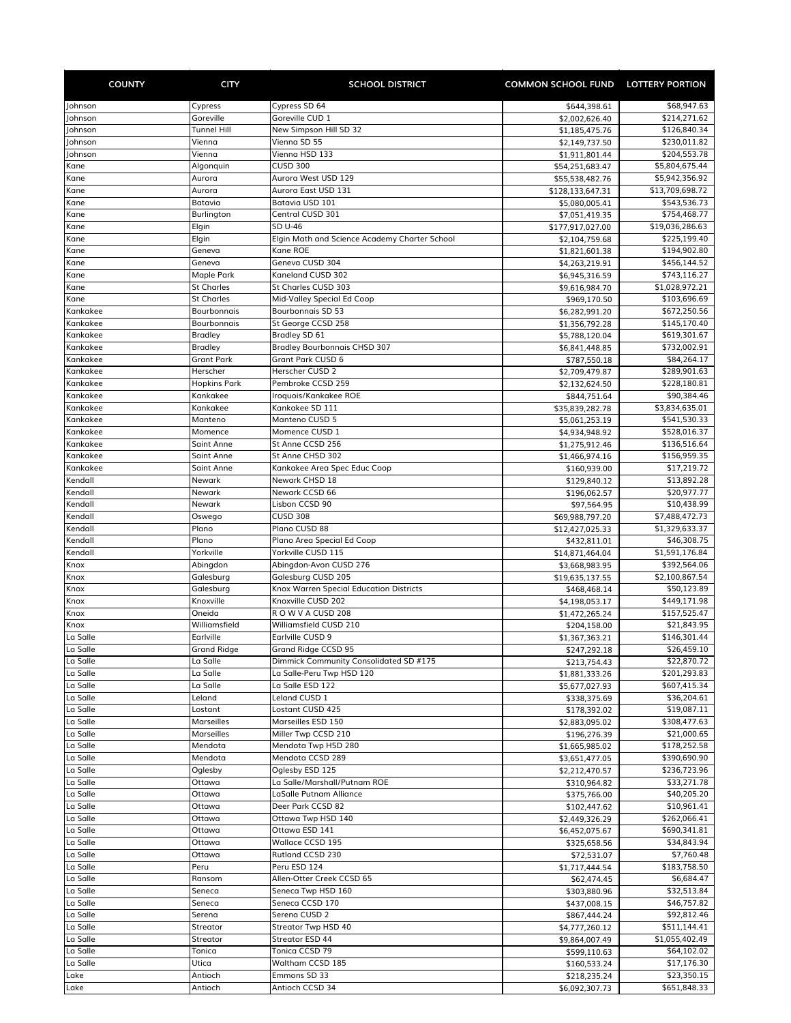| <b>COUNTY</b>        | <b>CITY</b>                     | <b>SCHOOL DISTRICT</b>                        | COMMON SCHOOL FUND LOTTERY PORTION |                                  |
|----------------------|---------------------------------|-----------------------------------------------|------------------------------------|----------------------------------|
| Johnson              | Cypress                         | Cypress SD 64                                 | \$644,398.61                       | \$68,947.63                      |
| Johnson              | Goreville                       | Goreville CUD 1                               | \$2,002,626.40                     | \$214,271.62                     |
| lohnson              | Tunnel Hill                     | New Simpson Hill SD 32                        | \$1,185,475.76                     | \$126,840.34                     |
| Johnson              | Vienna                          | Vienna SD 55                                  | \$2,149,737.50                     | \$230,011.82                     |
| Johnson              | Vienna                          | Vienna HSD 133                                | \$1,911,801.44                     | \$204,553.78                     |
| Kane<br>Kane         | Algonquin<br>Aurora             | <b>CUSD 300</b><br>Aurora West USD 129        | \$54,251,683.47<br>\$55,538,482.76 | \$5,804,675.44<br>\$5,942,356.92 |
| Kane                 | Aurora                          | Aurora East USD 131                           | \$128,133,647.31                   | \$13,709,698.72                  |
| Kane                 | Batavia                         | Batavia USD 101                               | \$5,080,005.41                     | \$543,536.73                     |
| Kane                 | Burlington                      | Central CUSD 301                              | \$7,051,419.35                     | \$754,468.77                     |
| Kane                 | Elgin                           | SD U-46                                       | \$177,917,027.00                   | \$19,036,286.63                  |
| Kane                 | Elgin                           | Elgin Math and Science Academy Charter School | \$2,104,759.68                     | \$225,199.40                     |
| Kane                 | Geneva                          | Kane ROE                                      | \$1,821,601.38                     | \$194,902.80                     |
| Kane                 | Geneva                          | Geneva CUSD 304<br>Kaneland CUSD 302          | \$4,263,219.91                     | \$456,144.52                     |
| Kane<br>Kane         | Maple Park<br><b>St Charles</b> | St Charles CUSD 303                           | \$6,945,316.59<br>\$9,616,984.70   | \$743,116.27<br>\$1,028,972.21   |
| Kane                 | <b>St Charles</b>               | Mid-Valley Special Ed Coop                    | \$969,170.50                       | \$103,696.69                     |
| Kankakee             | Bourbonnais                     | <b>Bourbonnais SD 53</b>                      | \$6,282,991.20                     | \$672,250.56                     |
| Kankakee             | Bourbonnais                     | St George CCSD 258                            | \$1,356,792.28                     | \$145,170.40                     |
| Kankakee             | <b>Bradley</b>                  | Bradley SD 61                                 | \$5,788,120.04                     | \$619,301.67                     |
| Kankakee             | <b>Bradley</b>                  | <b>Bradley Bourbonnais CHSD 307</b>           | \$6,841,448.85                     | \$732.002.91                     |
| Kankakee             | <b>Grant Park</b>               | Grant Park CUSD 6                             | \$787,550.18                       | \$84,264.17                      |
| Kankakee             | Herscher                        | Herscher CUSD 2                               | \$2,709,479.87                     | \$289,901.63                     |
| Kankakee<br>Kankakee | <b>Hopkins Park</b><br>Kankakee | Pembroke CCSD 259<br>Iroquois/Kankakee ROE    | \$2,132,624.50<br>\$844,751.64     | \$228,180.81<br>\$90,384.46      |
| Kankakee             | Kankakee                        | Kankakee SD 111                               | \$35,839,282.78                    | \$3,834,635.01                   |
| Kankakee             | Manteno                         | Manteno CUSD 5                                | \$5,061,253.19                     | \$541,530.33                     |
| Kankakee             | Momence                         | Momence CUSD 1                                | \$4,934,948.92                     | \$528,016.37                     |
| Kankakee             | <b>Saint Anne</b>               | St Anne CCSD 256                              | \$1,275,912.46                     | \$136,516.64                     |
| Kankakee             | <b>Saint Anne</b>               | St Anne CHSD 302                              | \$1,466,974.16                     | \$156,959.35                     |
| Kankakee             | <b>Saint Anne</b>               | Kankakee Area Spec Educ Coop                  | \$160,939.00                       | \$17,219.72                      |
| Kendall              | Newark                          | Newark CHSD 18                                | \$129,840.12                       | \$13,892.28                      |
| Kendall<br>Kendall   | Newark<br>Newark                | Newark CCSD 66<br>Lisbon CCSD 90              | \$196,062.57                       | \$20,977.77<br>\$10,438.99       |
| Kendall              | Oswego                          | <b>CUSD 308</b>                               | \$97,564.95<br>\$69,988,797.20     | \$7,488,472.73                   |
| Kendall              | Plano                           | Plano CUSD 88                                 | \$12,427,025.33                    | \$1,329,633.37                   |
| Kendall              | Plano                           | Plano Area Special Ed Coop                    | \$432,811.01                       | \$46,308.75                      |
| Kendall              | Yorkville                       | Yorkville CUSD 115                            | \$14,871,464.04                    | \$1,591,176.84                   |
| Knox                 | Abingdon                        | Abingdon-Avon CUSD 276                        | \$3,668,983.95                     | \$392,564.06                     |
| Knox                 | Galesburg                       | Galesburg CUSD 205                            | \$19,635,137.55                    | \$2,100,867.54                   |
| Knox                 | Galesburg                       | Knox Warren Special Education Districts       | \$468,468.14                       | \$50,123.89                      |
| Knox<br>Knox         | Knoxville<br>Oneida             | Knoxville CUSD 202<br>ROW V A CUSD 208        | \$4,198,053.17<br>\$1,472,265.24   | \$449,171.98<br>\$157,525.47     |
| Knox                 | Williamsfield                   | Williamsfield CUSD 210                        | \$204,158.00                       | \$21,843.95                      |
| La Salle             | Earlville                       | Earlville CUSD 9                              | \$1,367,363.21                     | \$146,301.44                     |
| La Salle             | Grand Ridge                     | Grand Ridge CCSD 95                           | \$247,292.18                       | \$26,459.10                      |
| La Salle             | La Salle                        | Dimmick Community Consolidated SD #175        | \$213,754.43                       | \$22,870.72                      |
| La Salle             | La Salle                        | La Salle-Peru Twp HSD 120                     | \$1,881,333.26                     | \$201,293.83                     |
| La Salle             | La Salle                        | La Salle ESD 122                              | \$5,677,027.93                     | \$607,415.34                     |
| La Salle             | Leland                          | Leland CUSD 1                                 | \$338,375.69                       | \$36,204.61                      |
| La Salle<br>La Salle | Lostant<br>Marseilles           | Lostant CUSD 425<br>Marseilles ESD 150        | \$178,392.02                       | \$19,087.11<br>\$308,477.63      |
| La Salle             | <b>Marseilles</b>               | Miller Twp CCSD 210                           | \$2,883,095.02<br>\$196,276.39     | \$21,000.65                      |
| La Salle             | Mendota                         | Mendota Twp HSD 280                           | \$1,665,985.02                     | \$178,252.58                     |
| La Salle             | Mendota                         | Mendota CCSD 289                              | \$3,651,477.05                     | \$390,690.90                     |
| La Salle             | Oglesby                         | Oglesby ESD 125                               | \$2,212,470.57                     | \$236,723.96                     |
| La Salle             | Ottawa                          | La Salle/Marshall/Putnam ROE                  | \$310,964.82                       | \$33,271.78                      |
| La Salle             | Ottawa                          | LaSalle Putnam Alliance                       | \$375,766.00                       | \$40,205.20                      |
| La Salle             | Ottawa                          | Deer Park CCSD 82                             | \$102,447.62                       | \$10,961.41                      |
| La Salle             | Ottawa                          | Ottawa Twp HSD 140                            | \$2,449,326.29                     | \$262,066.41                     |
| La Salle<br>La Salle | Ottawa<br>Ottawa                | Ottawa ESD 141<br>Wallace CCSD 195            | \$6,452,075.67                     | \$690,341.81<br>\$34,843.94      |
| La Salle             | Ottawa                          | Rutland CCSD 230                              | \$325,658.56<br>\$72,531.07        | \$7,760.48                       |
| La Salle             | Peru                            | Peru ESD 124                                  | \$1,717,444.54                     | \$183,758.50                     |
| La Salle             | Ransom                          | Allen-Otter Creek CCSD 65                     | \$62,474.45                        | \$6,684.47                       |
| La Salle             | Seneca                          | Seneca Twp HSD 160                            | \$303,880.96                       | \$32,513.84                      |
| La Salle             | Seneca                          | Seneca CCSD 170                               | \$437,008.15                       | \$46,757.82                      |
| La Salle             | Serena                          | Serena CUSD 2                                 | \$867,444.24                       | \$92,812.46                      |
| La Salle             | Streator                        | Streator Twp HSD 40                           | \$4,777,260.12                     | \$511,144.41                     |
| La Salle             | Streator                        | Streator ESD 44                               | \$9,864,007.49                     | \$1,055,402.49                   |
| La Salle<br>La Salle | Tonica<br>Utica                 | Tonica CCSD 79<br>Waltham CCSD 185            | \$599,110.63                       | \$64,102.02<br>\$17,176.30       |
| Lake                 | Antioch                         | Emmons SD 33                                  | \$160,533.24<br>\$218,235.24       | \$23,350.15                      |
| Lake                 | Antioch                         | Antioch CCSD 34                               | \$6,092,307.73                     | \$651,848.33                     |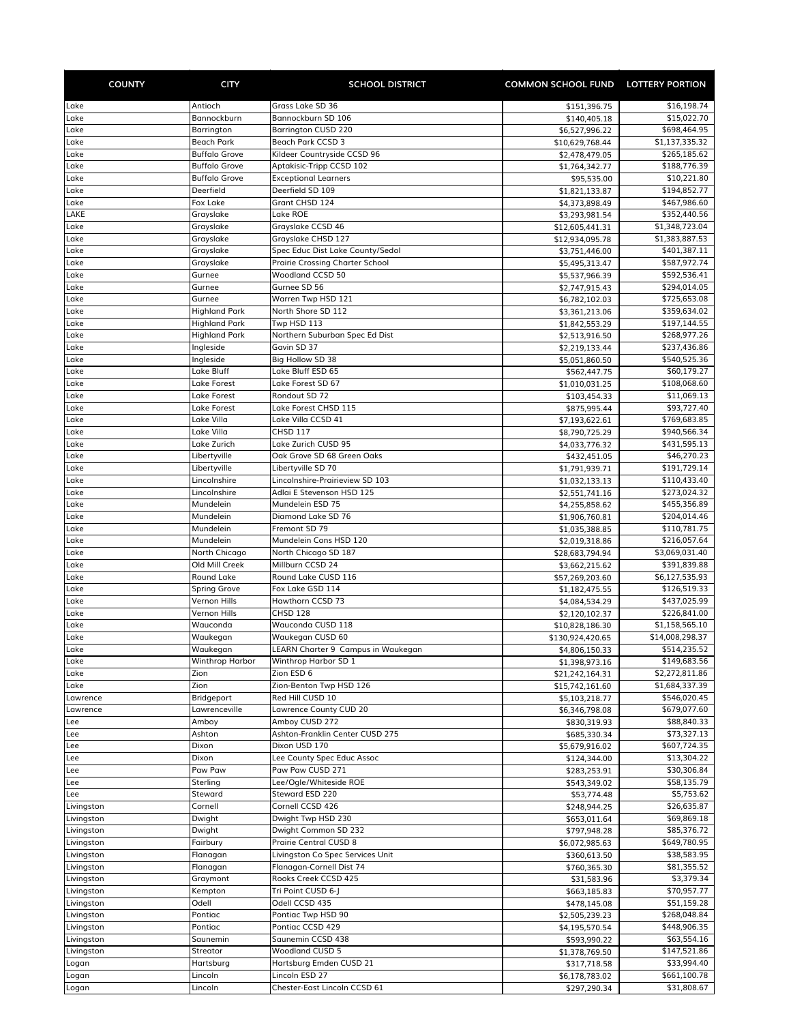| <b>COUNTY</b>            | <b>CITY</b>                                  | <b>SCHOOL DISTRICT</b>                                       | COMMON SCHOOL FUND LOTTERY PORTION |                              |
|--------------------------|----------------------------------------------|--------------------------------------------------------------|------------------------------------|------------------------------|
| Lake                     | Antioch                                      | Grass Lake SD 36                                             | \$151,396.75                       | \$16,198.74                  |
| Lake                     | Bannockburn                                  | Bannockburn SD 106                                           | \$140,405.18                       | \$15,022.70                  |
| Lake                     | Barrington                                   | <b>Barrington CUSD 220</b>                                   | \$6,527,996.22                     | \$698,464.95                 |
| Lake                     | Beach Park                                   | Beach Park CCSD 3                                            | \$10,629,768.44                    | \$1,137,335.32               |
| Lake                     | <b>Buffalo Grove</b>                         | Kildeer Countryside CCSD 96                                  | \$2,478,479.05                     | \$265,185.62                 |
| Lake<br>Lake             | <b>Buffalo Grove</b><br><b>Buffalo Grove</b> | Aptakisic-Tripp CCSD 102<br><b>Exceptional Learners</b>      | \$1,764,342.77<br>\$95,535.00      | \$188,776.39<br>\$10,221.80  |
| Lake                     | Deerfield                                    | Deerfield SD 109                                             | \$1,821,133.87                     | \$194,852.77                 |
| Lake                     | Fox Lake                                     | Grant CHSD 124                                               | \$4,373,898.49                     | \$467,986.60                 |
| LAKE                     | Grayslake                                    | Lake ROE                                                     | \$3,293,981.54                     | \$352,440.56                 |
| Lake                     | Grayslake                                    | Grayslake CCSD 46                                            | \$12,605,441.31                    | \$1,348,723.04               |
| Lake                     | Grayslake                                    | Grayslake CHSD 127                                           | \$12,934,095.78                    | \$1,383,887.53               |
| Lake                     | Grayslake                                    | Spec Educ Dist Lake County/Sedol                             | \$3,751,446.00                     | \$401,387.11                 |
| Lake<br>Lake             | Grayslake<br>Gurnee                          | <b>Prairie Crossing Charter School</b><br>Woodland CCSD 50   | \$5,495,313.47                     | \$587,972.74<br>\$592,536.41 |
| Lake                     | Gurnee                                       | Gurnee SD 56                                                 | \$5,537,966.39<br>\$2,747,915.43   | \$294,014.05                 |
| Lake                     | Gurnee                                       | Warren Twp HSD 121                                           | \$6,782,102.03                     | \$725,653.08                 |
| Lake                     | <b>Highland Park</b>                         | North Shore SD 112                                           | \$3,361,213.06                     | \$359,634.02                 |
| Lake                     | <b>Highland Park</b>                         | Twp HSD 113                                                  | \$1,842,553.29                     | \$197,144.55                 |
| Lake                     | <b>Highland Park</b>                         | Northern Suburban Spec Ed Dist                               | \$2,513,916.50                     | \$268,977.26                 |
| Lake                     | Ingleside                                    | Gavin SD 37                                                  | \$2,219,133.44                     | \$237,436.86                 |
| Lake                     | Ingleside                                    | Big Hollow SD 38                                             | \$5,051,860.50                     | \$540,525.36                 |
| Lake<br>Lake             | Lake Bluff                                   | Lake Bluff ESD 65<br>Lake Forest SD 67                       | \$562,447.75                       | \$60,179.27                  |
| Lake                     | Lake Forest<br>Lake Forest                   | Rondout SD 72                                                | \$1,010,031.25<br>\$103,454.33     | \$108,068.60<br>\$11,069.13  |
| Lake                     | Lake Forest                                  | Lake Forest CHSD 115                                         | \$875,995.44                       | \$93,727.40                  |
| Lake                     | Lake Villa                                   | Lake Villa CCSD 41                                           | \$7,193,622.61                     | \$769,683.85                 |
| Lake                     | Lake Villa                                   | <b>CHSD 117</b>                                              | \$8,790,725.29                     | \$940,566.34                 |
| Lake                     | Lake Zurich                                  | Lake Zurich CUSD 95                                          | \$4,033,776.32                     | \$431,595.13                 |
| Lake                     | Libertyville                                 | Oak Grove SD 68 Green Oaks                                   | \$432,451.05                       | \$46,270.23                  |
| Lake                     | Libertyville                                 | Libertyville SD 70                                           | \$1,791,939.71                     | \$191,729.14                 |
| Lake<br>Lake             | Lincolnshire                                 | Lincolnshire-Prairieview SD 103<br>Adlai E Stevenson HSD 125 | \$1,032,133.13                     | \$110,433.40                 |
| Lake                     | Lincolnshire<br>Mundelein                    | Mundelein ESD 75                                             | \$2,551,741.16<br>\$4,255,858.62   | \$273,024.32<br>\$455,356.89 |
| Lake                     | Mundelein                                    | Diamond Lake SD 76                                           | \$1,906,760.81                     | \$204,014.46                 |
| Lake                     | Mundelein                                    | Fremont SD 79                                                | \$1,035,388.85                     | \$110,781.75                 |
| Lake                     | Mundelein                                    | Mundelein Cons HSD 120                                       | \$2,019,318.86                     | \$216,057.64                 |
| Lake                     | North Chicago                                | North Chicago SD 187                                         | \$28,683,794.94                    | \$3,069,031.40               |
| Lake                     | Old Mill Creek                               | Millburn CCSD 24                                             | \$3,662,215.62                     | \$391,839.88                 |
| Lake                     | Round Lake                                   | Round Lake CUSD 116                                          | \$57,269,203.60                    | \$6,127,535.93               |
| Lake                     | Spring Grove                                 | Fox Lake GSD 114<br>Hawthorn CCSD 73                         | \$1,182,475.55                     | \$126,519.33                 |
| Lake<br>Lake             | Vernon Hills<br>Vernon Hills                 | CHSD 128                                                     | \$4,084,534.29<br>\$2,120,102.37   | \$437,025.99<br>\$226,841.00 |
| Lake                     | Wauconda                                     | Wauconda CUSD 118                                            | \$10,828,186.30                    | \$1,158,565.10               |
| Lake                     | Waukegan                                     | Waukegan CUSD 60                                             | \$130,924,420.65                   | \$14,008,298.37              |
| Lake                     | Waukegan                                     | LEARN Charter 9 Campus in Waukegan                           | \$4,806,150.33                     | \$514,235.52                 |
| Lake                     | <b>Winthrop Harbor</b>                       | Winthrop Harbor SD 1                                         | \$1,398,973.16                     | \$149,683.56                 |
| Lake                     | Zion                                         | Zion ESD 6                                                   | \$21,242,164.31                    | \$2,272,811.86               |
| Lake                     | Zion                                         | Zion-Benton Twp HSD 126                                      | \$15,742,161.60                    | \$1,684,337.39               |
| Lawrence                 | Bridgeport                                   | Red Hill CUSD 10<br>Lawrence County CUD 20                   | \$5,103,218.77                     | \$546,020.45                 |
| Lawrence<br>Lee          | Lawrenceville<br>Amboy                       | Amboy CUSD 272                                               | \$6,346,798.08<br>\$830,319.93     | \$679,077.60<br>\$88,840.33  |
| Lee                      | Ashton                                       | Ashton-Franklin Center CUSD 275                              | \$685,330.34                       | \$73,327.13                  |
| Lee                      | Dixon                                        | Dixon USD 170                                                | \$5,679,916.02                     | \$607,724.35                 |
| Lee                      | Dixon                                        | Lee County Spec Educ Assoc                                   | \$124,344.00                       | \$13,304.22                  |
| Lee                      | Paw Paw                                      | Paw Paw CUSD 271                                             | \$283,253.91                       | \$30,306.84                  |
| Lee                      | Sterling                                     | Lee/Ogle/Whiteside ROE                                       | \$543,349.02                       | \$58,135.79                  |
| Lee                      | Steward                                      | Steward ESD 220                                              | \$53,774.48                        | \$5,753.62                   |
| Livingston               | Cornell                                      | Cornell CCSD 426<br>Dwight Twp HSD 230                       | \$248,944.25                       | \$26,635.87<br>\$69,869.18   |
| Livingston<br>Livingston | Dwight<br>Dwight                             | Dwight Common SD 232                                         | \$653,011.64<br>\$797,948.28       | \$85,376.72                  |
| Livingston               | Fairbury                                     | Prairie Central CUSD 8                                       | \$6,072,985.63                     | \$649,780.95                 |
| Livingston               | Flanagan                                     | Livingston Co Spec Services Unit                             | \$360,613.50                       | \$38,583.95                  |
| Livingston               | Flanagan                                     | Flanagan-Cornell Dist 74                                     | \$760,365.30                       | \$81,355.52                  |
| Livingston               | Graymont                                     | Rooks Creek CCSD 425                                         | \$31,583.96                        | \$3,379.34                   |
| Livingston               | Kempton                                      | Tri Point CUSD 6-J                                           | \$663,185.83                       | \$70,957.77                  |
| Livingston               | Odell                                        | Odell CCSD 435                                               | \$478,145.08                       | \$51,159.28                  |
| Livingston               | Pontiac                                      | Pontiac Twp HSD 90                                           | \$2,505,239.23                     | \$268,048.84                 |
| Livingston<br>Livingston | Pontiac<br>Saunemin                          | Pontiac CCSD 429<br>Saunemin CCSD 438                        | \$4,195,570.54<br>\$593,990.22     | \$448,906.35<br>\$63,554.16  |
| Livingston               | Streator                                     | <b>Woodland CUSD 5</b>                                       | \$1,378,769.50                     | \$147,521.86                 |
| Logan                    | Hartsburg                                    | Hartsburg Emden CUSD 21                                      | \$317,718.58                       | \$33,994.40                  |
| Logan                    | Lincoln                                      | Lincoln ESD 27                                               | \$6,178,783.02                     | \$661,100.78                 |
| Logan                    | Lincoln                                      | Chester-East Lincoln CCSD 61                                 | \$297,290.34                       | \$31,808.67                  |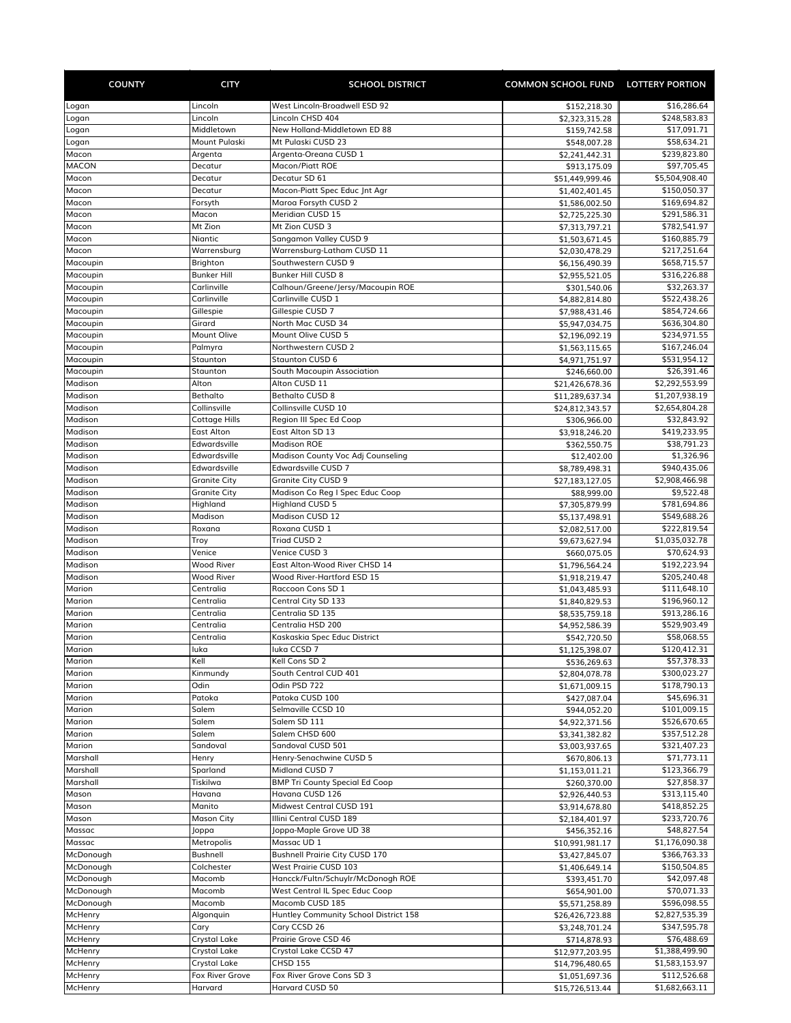| <b>COUNTY</b>          | <b>CITY</b>                  | <b>SCHOOL DISTRICT</b>                                     | COMMON SCHOOL FUND LOTTERY PORTION |                                |
|------------------------|------------------------------|------------------------------------------------------------|------------------------------------|--------------------------------|
| Logan                  | Lincoln                      | West Lincoln-Broadwell ESD 92                              | \$152,218.30                       | \$16,286.64                    |
| Logan                  | Lincoln                      | Lincoln CHSD 404                                           | \$2,323,315.28                     | \$248,583.83                   |
| Logan                  | Middletown                   | New Holland-Middletown ED 88                               | \$159,742.58                       | \$17,091.71                    |
| Logan                  | Mount Pulaski                | Mt Pulaski CUSD 23                                         | \$548,007.28                       | \$58,634.21                    |
| Macon                  | Argenta                      | Argenta-Oreana CUSD 1                                      | \$2,241,442.31                     | \$239,823.80                   |
| <b>MACON</b>           | Decatur                      | Macon/Piatt ROE                                            | \$913,175.09                       | \$97,705.45                    |
| Macon<br>Macon         | Decatur<br>Decatur           | Decatur SD 61                                              | \$51,449,999.46                    | \$5,504,908.40<br>\$150,050.37 |
| Macon                  | Forsyth                      | Macon-Piatt Spec Educ Jnt Agr<br>Maroa Forsyth CUSD 2      | \$1,402,401.45<br>\$1,586,002.50   | \$169,694.82                   |
| Macon                  | Macon                        | Meridian CUSD 15                                           | \$2,725,225.30                     | \$291,586.31                   |
| Macon                  | Mt Zion                      | Mt Zion CUSD 3                                             | \$7,313,797.21                     | \$782,541.97                   |
| Macon                  | Niantic                      | Sangamon Valley CUSD 9                                     | \$1,503,671.45                     | \$160,885.79                   |
| Macon                  | Warrensburg                  | Warrensburg-Latham CUSD 11                                 | \$2,030,478.29                     | \$217,251.64                   |
| Macoupin               | Brighton                     | Southwestern CUSD 9                                        | \$6,156,490.39                     | \$658,715.57                   |
| Macoupin               | <b>Bunker Hill</b>           | Bunker Hill CUSD 8                                         | \$2,955,521.05                     | \$316,226.88                   |
| Macoupin               | Carlinville                  | Calhoun/Greene/Jersy/Macoupin ROE                          | \$301,540.06                       | \$32,263.37                    |
| Macoupin<br>Macoupin   | Carlinville                  | Carlinville CUSD 1<br>Gillespie CUSD 7                     | \$4,882,814.80                     | \$522,438.26<br>\$854,724.66   |
| Macoupin               | Gillespie<br>Girard          | North Mac CUSD 34                                          | \$7,988,431.46<br>\$5,947,034.75   | \$636,304.80                   |
| Macoupin               | Mount Olive                  | Mount Olive CUSD 5                                         | \$2,196,092.19                     | \$234,971.55                   |
| Macoupin               | Palmyra                      | Northwestern CUSD 2                                        | \$1,563,115.65                     | \$167,246.04                   |
| Macoupin               | Staunton                     | Staunton CUSD 6                                            | \$4,971,751.97                     | \$531,954.12                   |
| Macoupin               | Staunton                     | South Macoupin Association                                 | \$246,660.00                       | \$26,391.46                    |
| Madison                | Alton                        | Alton CUSD 11                                              | \$21,426,678.36                    | \$2,292,553.99                 |
| Madison                | Bethalto                     | <b>Bethalto CUSD 8</b>                                     | \$11,289,637.34                    | \$1,207,938.19                 |
| Madison                | Collinsville                 | Collinsville CUSD 10                                       | \$24,812,343.57                    | \$2,654,804.28                 |
| Madison                | Cottage Hills                | Region III Spec Ed Coop                                    | \$306,966.00                       | \$32,843.92                    |
| Madison                | <b>East Alton</b>            | East Alton SD 13                                           | \$3,918,246.20                     | \$419,233.95                   |
| Madison                | Edwardsville                 | <b>Madison ROE</b>                                         | \$362,550.75                       | \$38,791.23                    |
| Madison<br>Madison     | Edwardsville<br>Edwardsville | Madison County Voc Adj Counseling<br>Edwardsville CUSD 7   | \$12,402.00                        | \$1,326.96<br>\$940,435.06     |
| Madison                | <b>Granite City</b>          | <b>Granite City CUSD 9</b>                                 | \$8,789,498.31<br>\$27,183,127.05  | \$2,908,466.98                 |
| Madison                | <b>Granite City</b>          | Madison Co Reg I Spec Educ Coop                            | \$88,999.00                        | \$9,522.48                     |
| Madison                | Highland                     | <b>Highland CUSD 5</b>                                     | \$7,305,879.99                     | \$781,694.86                   |
| Madison                | Madison                      | Madison CUSD 12                                            | \$5,137,498.91                     | \$549,688.26                   |
| Madison                | Roxana                       | Roxana CUSD 1                                              | \$2,082,517.00                     | \$222,819.54                   |
| Madison                | Troy                         | Triad CUSD 2                                               | \$9,673,627.94                     | \$1,035,032.78                 |
| Madison                | Venice                       | Venice CUSD 3                                              | \$660,075.05                       | \$70,624.93                    |
| Madison                | <b>Wood River</b>            | East Alton-Wood River CHSD 14                              | \$1,796,564.24                     | \$192,223.94                   |
| Madison                | <b>Wood River</b>            | Wood River-Hartford ESD 15                                 | \$1,918,219.47                     | \$205,240.48                   |
| Marion                 | Centralia<br>Centralia       | Raccoon Cons SD 1                                          | \$1,043,485.93                     | \$111,648.10<br>\$196,960.12   |
| Marion<br>Marion       | Centralia                    | Central City SD 133<br>Centralia SD 135                    | \$1,840,829.53<br>\$8,535,759.18   | \$913,286.16                   |
| Marion                 | Centralia                    | Centralia HSD 200                                          | \$4,952,586.39                     | \$529,903.49                   |
| Marion                 | Centralia                    | Kaskaskia Spec Educ District                               | \$542,720.50                       | \$58,068.55                    |
| Marion                 | luka                         | luka CCSD 7                                                | \$1,125,398.07                     | \$120,412.31                   |
| Marion                 | Kell                         | Kell Cons SD 2                                             | \$536,269.63                       | \$57,378.33                    |
| Marion                 | Kinmundy                     | South Central CUD 401                                      | \$2,804,078.78                     | \$300,023.27                   |
| Marion                 | Odin                         | Odin PSD 722                                               | \$1,671,009.15                     | \$178,790.13                   |
| Marion                 | Patoka                       | Patoka CUSD 100                                            | \$427,087.04                       | \$45,696.31                    |
| Marion                 | Salem                        | Selmaville CCSD 10                                         | \$944,052.20                       | \$101,009.15                   |
| Marion<br>Marion       | Salem                        | Salem SD 111                                               | \$4,922,371.56                     | \$526,670.65                   |
| Marion                 | Salem<br>Sandoval            | Salem CHSD 600<br>Sandoval CUSD 501                        | \$3,341,382.82<br>\$3,003,937.65   | \$357,512.28<br>\$321,407.23   |
| Marshall               | Henry                        | Henry-Senachwine CUSD 5                                    | \$670,806.13                       | \$71,773.11                    |
| Marshall               | Sparland                     | Midland CUSD 7                                             | \$1,153,011.21                     | \$123,366.79                   |
| Marshall               | Tiskilwa                     | <b>BMP Tri County Special Ed Coop</b>                      | \$260,370.00                       | \$27,858.37                    |
| Mason                  | Havana                       | Havana CUSD 126                                            | \$2,926,440.53                     | \$313,115.40                   |
| Mason                  | Manito                       | Midwest Central CUSD 191                                   | \$3,914,678.80                     | \$418,852.25                   |
| Mason                  | <b>Mason City</b>            | Illini Central CUSD 189                                    | \$2,184,401.97                     | \$233,720.76                   |
| Massac                 | Joppa                        | Joppa-Maple Grove UD 38                                    | \$456,352.16                       | \$48,827.54                    |
| Massac                 | Metropolis                   | Massac UD 1                                                | \$10,991,981.17                    | \$1,176,090.38                 |
| McDonough              | Bushnell                     | <b>Bushnell Prairie City CUSD 170</b>                      | \$3,427,845.07                     | \$366,763.33                   |
| McDonough<br>McDonough | Colchester<br>Macomb         | West Prairie CUSD 103<br>Hancck/Fultn/Schuylr/McDonogh ROE | \$1,406,649.14                     | \$150,504.85<br>\$42,097.48    |
| McDonough              | Macomb                       | West Central IL Spec Educ Coop                             | \$393,451.70<br>\$654,901.00       | \$70,071.33                    |
| McDonough              | Macomb                       | Macomb CUSD 185                                            | \$5,571,258.89                     | \$596,098.55                   |
| McHenry                | Algonquin                    | Huntley Community School District 158                      | \$26,426,723.88                    | \$2,827,535.39                 |
| McHenry                | Cary                         | Cary CCSD 26                                               | \$3,248,701.24                     | \$347,595.78                   |
| McHenry                | Crystal Lake                 | Prairie Grove CSD 46                                       | \$714,878.93                       | \$76,488.69                    |
| McHenry                | Crystal Lake                 | Crystal Lake CCSD 47                                       | \$12,977,203.95                    | \$1,388,499.90                 |
| McHenry                | Crystal Lake                 | <b>CHSD 155</b>                                            | \$14,796,480.65                    | \$1,583,153.97                 |
| McHenry                | Fox River Grove              | Fox River Grove Cons SD 3                                  | \$1,051,697.36                     | \$112,526.68                   |
| McHenry                | Harvard                      | Harvard CUSD 50                                            | \$15,726,513.44                    | \$1,682,663.11                 |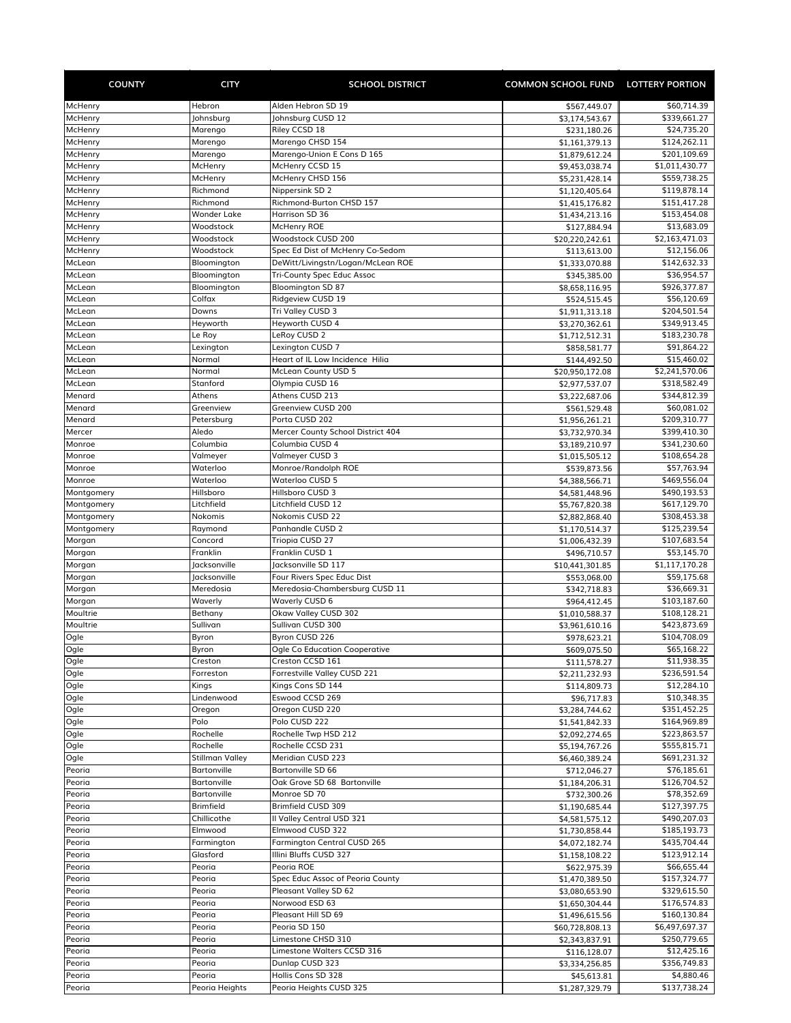| <b>COUNTY</b>        | <b>CITY</b>                     | <b>SCHOOL DISTRICT</b>                        | <b>COMMON SCHOOL FUND LOTTERY PORTION</b> |                              |
|----------------------|---------------------------------|-----------------------------------------------|-------------------------------------------|------------------------------|
| McHenry              | Hebron                          | Alden Hebron SD 19                            | \$567,449.07                              | \$60,714.39                  |
| McHenry              | Johnsburg                       | Johnsburg CUSD 12                             | \$3,174,543.67                            | \$339,661.27                 |
| McHenry              | Marengo                         | Riley CCSD 18                                 | \$231,180.26                              | \$24,735.20                  |
| McHenry              | Marengo                         | Marengo CHSD 154                              | \$1,161,379.13                            | \$124,262.11                 |
| McHenry              | Marengo                         | Marengo-Union E Cons D 165                    | \$1,879,612.24                            | \$201,109.69                 |
| McHenry              | McHenry                         | McHenry CCSD 15                               | \$9,453,038.74                            | \$1,011,430.77               |
| McHenry              | McHenry                         | McHenry CHSD 156                              | \$5,231,428.14                            | \$559,738.25                 |
| McHenry<br>McHenry   | Richmond<br>Richmond            | Nippersink SD 2<br>Richmond-Burton CHSD 157   | \$1,120,405.64<br>\$1,415,176.82          | \$119,878.14<br>\$151,417.28 |
| McHenry              | <b>Wonder Lake</b>              | Harrison SD 36                                | \$1,434,213.16                            | \$153,454.08                 |
| McHenry              | Woodstock                       | McHenry ROE                                   | \$127,884.94                              | \$13,683.09                  |
| McHenry              | Woodstock                       | Woodstock CUSD 200                            | \$20,220,242.61                           | \$2,163,471.03               |
| McHenry              | Woodstock                       | Spec Ed Dist of McHenry Co-Sedom              | \$113,613.00                              | \$12,156.06                  |
| McLean               | Bloomington                     | DeWitt/Livingstn/Logan/McLean ROE             | \$1,333,070.88                            | \$142,632.33                 |
| McLean               | Bloomington                     | Tri-County Spec Educ Assoc                    | \$345,385.00                              | \$36,954.57                  |
| McLean               | Bloomington                     | <b>Bloomington SD 87</b>                      | \$8,658,116.95                            | \$926,377.87                 |
| McLean               | Colfax                          | Ridgeview CUSD 19                             | \$524,515.45                              | \$56,120.69                  |
| McLean<br>McLean     | Downs<br>Heyworth               | Tri Valley CUSD 3<br>Heyworth CUSD 4          | \$1,911,313.18                            | \$204,501.54<br>\$349,913.45 |
| McLean               | Le Roy                          | LeRoy CUSD 2                                  | \$3,270,362.61<br>\$1,712,512.31          | \$183,230.78                 |
| McLean               | Lexington                       | Lexington CUSD 7                              | \$858,581.77                              | \$91,864.22                  |
| McLean               | Normal                          | Heart of IL Low Incidence Hilia               | \$144,492.50                              | \$15,460.02                  |
| McLean               | Normal                          | McLean County USD 5                           | \$20,950,172.08                           | \$2,241,570.06               |
| McLean               | Stanford                        | Olympia CUSD 16                               | \$2,977,537.07                            | \$318,582.49                 |
| Menard               | Athens                          | Athens CUSD 213                               | \$3,222,687.06                            | \$344,812.39                 |
| Menard               | Greenview                       | Greenview CUSD 200                            | \$561,529.48                              | \$60,081.02                  |
| Menard               | Petersburg                      | Porta CUSD 202                                | \$1,956,261.21                            | \$209,310.77                 |
| Mercer               | Aledo                           | Mercer County School District 404             | \$3,732,970.34                            | \$399,410.30                 |
| Monroe               | Columbia                        | Columbia CUSD 4                               | \$3,189,210.97                            | \$341,230.60                 |
| Monroe               | Valmeyer                        | Valmeyer CUSD 3                               | \$1,015,505.12                            | \$108,654.28                 |
| Monroe               | Waterloo                        | Monroe/Randolph ROE                           | \$539,873.56                              | \$57,763.94                  |
| Monroe<br>Montgomery | Waterloo<br>Hillsboro           | Waterloo CUSD 5<br>Hillsboro CUSD 3           | \$4,388,566.71                            | \$469,556.04<br>\$490,193.53 |
| Montgomery           | Litchfield                      | Litchfield CUSD 12                            | \$4,581,448.96<br>\$5,767,820.38          | \$617,129.70                 |
| Montgomery           | Nokomis                         | Nokomis CUSD 22                               | \$2,882,868.40                            | \$308,453.38                 |
| Montgomery           | Raymond                         | Panhandle CUSD 2                              | \$1,170,514.37                            | \$125,239.54                 |
| Morgan               | Concord                         | Triopia CUSD 27                               | \$1,006,432.39                            | \$107,683.54                 |
| Morgan               | Franklin                        | Franklin CUSD 1                               | \$496,710.57                              | \$53,145.70                  |
| Morgan               | Jacksonville                    | Jacksonville SD 117                           | \$10,441,301.85                           | \$1,117,170.28               |
| Morgan               | Jacksonville                    | Four Rivers Spec Educ Dist                    | \$553,068.00                              | \$59,175.68                  |
| Morgan               | Meredosia                       | Meredosia-Chambersburg CUSD 11                | \$342,718.83                              | \$36,669.31                  |
| Morgan               | Waverly                         | <b>Waverly CUSD 6</b>                         | \$964,412.45                              | \$103,187.60                 |
| Moultrie             | Bethany                         | Okaw Valley CUSD 302                          | \$1,010,588.37                            | \$108,128.21                 |
| Moultrie             | Sullivan                        | Sullivan CUSD 300<br>Byron CUSD 226           | \$3,961,610.16                            | \$423,873.69<br>\$104,708.09 |
| Ogle<br>Ogle         | Byron<br>Byron                  | Ogle Co Education Cooperative                 | \$978,623.21<br>\$609,075.50              | \$65,168.22                  |
| Ogle                 | Creston                         | Creston CCSD 161                              | \$111,578.27                              | \$11,938.35                  |
| Ogle                 | Forreston                       | Forrestville Valley CUSD 221                  | \$2,211,232.93                            | \$236,591.54                 |
| Ogle                 | Kings                           | Kings Cons SD 144                             | \$114,809.73                              | \$12,284.10                  |
| Ogle                 | Lindenwood                      | Eswood CCSD 269                               | \$96,717.83                               | \$10,348.35                  |
| Ogle                 | Oregon                          | Oregon CUSD 220                               | \$3,284,744.62                            | \$351,452.25                 |
| Ogle                 | Polo                            | Polo CUSD 222                                 | \$1,541,842.33                            | \$164,969.89                 |
| Ogle                 | Rochelle                        | Rochelle Twp HSD 212                          | \$2,092,274.65                            | \$223,863.57                 |
| Ogle                 | Rochelle                        | Rochelle CCSD 231                             | \$5,194,767.26                            | \$555,815.71                 |
| Ogle                 | <b>Stillman Valley</b>          | Meridian CUSD 223                             | \$6,460,389.24                            | \$691,231.32                 |
| Peoria               | Bartonville                     | Bartonville SD 66                             | \$712,046.27                              | \$76,185.61                  |
| Peoria               | Bartonville                     | Oak Grove SD 68 Bartonville<br>Monroe SD 70   | \$1,184,206.31                            | \$126,704.52                 |
| Peoria<br>Peoria     | <b>Bartonville</b><br>Brimfield | Brimfield CUSD 309                            | \$732,300.26                              | \$78,352.69<br>\$127,397.75  |
| Peoria               | Chillicothe                     | Il Valley Central USD 321                     | \$1,190,685.44<br>\$4,581,575.12          | \$490,207.03                 |
| Peoria               | Elmwood                         | Elmwood CUSD 322                              | \$1,730,858.44                            | \$185,193.73                 |
| Peoria               | Farmington                      | Farmington Central CUSD 265                   | \$4,072,182.74                            | \$435,704.44                 |
| Peoria               | Glasford                        | Illini Bluffs CUSD 327                        | \$1,158,108.22                            | \$123,912.14                 |
| Peoria               | Peoria                          | Peoria ROE                                    | \$622,975.39                              | \$66,655.44                  |
| Peoria               | Peoria                          | Spec Educ Assoc of Peoria County              | \$1,470,389.50                            | \$157,324.77                 |
| Peoria               | Peoria                          | Pleasant Valley SD 62                         | \$3,080,653.90                            | \$329,615.50                 |
| Peoria               | Peoria                          | Norwood ESD 63                                | \$1,650,304.44                            | \$176,574.83                 |
| Peoria               | Peoria                          | Pleasant Hill SD 69                           | \$1,496,615.56                            | \$160,130.84                 |
| Peoria               | Peoria                          | Peoria SD 150                                 | \$60,728,808.13                           | \$6,497,697.37               |
| Peoria               | Peoria                          | Limestone CHSD 310                            | \$2,343,837.91                            | \$250,779.65                 |
| Peoria               | Peoria                          | Limestone Walters CCSD 316<br>Dunlap CUSD 323 | \$116,128.07                              | \$12,425.16                  |
| Peoria<br>Peoria     | Peoria<br>Peoria                | Hollis Cons SD 328                            | \$3,334,256.85<br>\$45,613.81             | \$356,749.83<br>\$4,880.46   |
| Peoria               | Peoria Heights                  | Peoria Heights CUSD 325                       | \$1,287,329.79                            | \$137,738.24                 |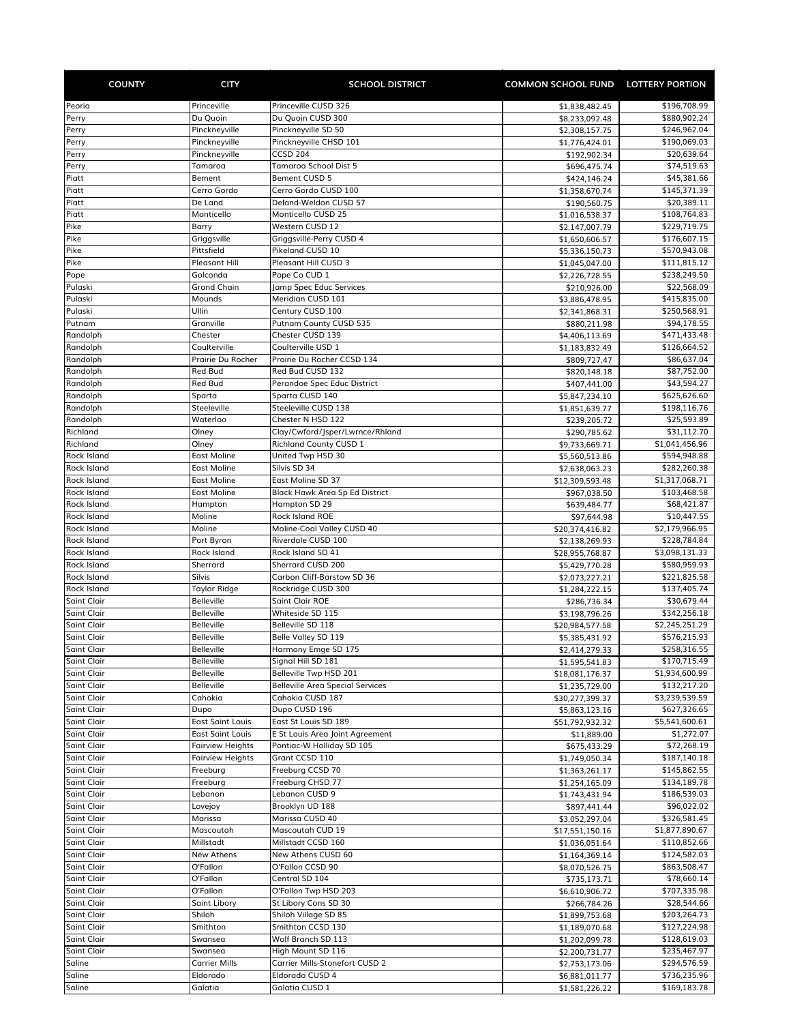| <b>COUNTY</b>                            | <b>CITY</b>                            | <b>SCHOOL DISTRICT</b>                                            | COMMON SCHOOL FUND LOTTERY PORTION |                                |
|------------------------------------------|----------------------------------------|-------------------------------------------------------------------|------------------------------------|--------------------------------|
| Peoria                                   | Princeville                            | Princeville CUSD 326                                              | \$1,838,482.45                     | \$196,708.99                   |
| Perry                                    | Du Quoin                               | Du Ouoin CUSD 300                                                 | \$8,233,092.48                     | \$880,902.24                   |
| Perry                                    | Pinckneyville                          | Pinckneyville SD 50                                               | \$2,308,157.75                     | \$246,962.04                   |
| Perry                                    | Pinckneyville                          | Pinckneyville CHSD 101                                            | \$1,776,424.01                     | \$190,069.03                   |
| Perry                                    | Pinckneyville                          | <b>CCSD 204</b><br>Tamaroa School Dist 5                          | \$192,902.34                       | \$20,639.64                    |
| Perry<br>Piatt                           | Tamaroa<br>Bement                      | Bement CUSD 5                                                     | \$696,475.74<br>\$424,146.24       | \$74,519.63<br>\$45,381.66     |
| Piatt                                    | Cerro Gordo                            | Cerro Gordo CUSD 100                                              | \$1,358,670.74                     | \$145,371.39                   |
| Piatt                                    | De Land                                | Deland-Weldon CUSD 57                                             | \$190,560.75                       | \$20,389.11                    |
| Piatt                                    | Monticello                             | Monticello CUSD 25                                                | \$1,016,538.37                     | \$108,764.83                   |
| Pike                                     | Barry                                  | Western CUSD 12                                                   | \$2,147,007.79                     | \$229,719.75                   |
| Pike                                     | Griggsville                            | Griggsville-Perry CUSD 4                                          | \$1,650,606.57                     | \$176,607.15                   |
| Pike                                     | Pittsfield                             | Pikeland CUSD 10                                                  | \$5,336,150.73                     | \$570,943.08                   |
| Pike                                     | Pleasant Hill                          | Pleasant Hill CUSD 3                                              | \$1,045,047.00                     | \$111,815.12                   |
| Pope<br>Pulaski                          | Golconda<br><b>Grand Chain</b>         | Pope Co CUD 1                                                     | \$2,226,728.55                     | \$238,249.50                   |
| Pulaski                                  | Mounds                                 | Jamp Spec Educ Services<br>Meridian CUSD 101                      | \$210,926.00<br>\$3,886,478.95     | \$22,568.09<br>\$415,835.00    |
| Pulaski                                  | Ullin                                  | Century CUSD 100                                                  | \$2,341,868.31                     | \$250,568.91                   |
| Putnam                                   | Granville                              | Putnam County CUSD 535                                            | \$880,211.98                       | \$94,178.55                    |
| Randolph                                 | Chester                                | Chester CUSD 139                                                  | \$4,406,113.69                     | \$471,433.48                   |
| Randolph                                 | Coulterville                           | Coulterville USD 1                                                | \$1,183,832.49                     | \$126,664.52                   |
| Randolph                                 | Prairie Du Rocher                      | Prairie Du Rocher CCSD 134                                        | \$809,727.47                       | \$86,637.04                    |
| Randolph                                 | <b>Red Bud</b>                         | Red Bud CUSD 132                                                  | \$820,148.18                       | \$87,752.00                    |
| Randolph                                 | Red Bud                                | Perandoe Spec Educ District                                       | \$407,441.00                       | \$43,594.27                    |
| Randolph                                 | Sparta                                 | Sparta CUSD 140                                                   | \$5,847,234.10                     | \$625,626.60                   |
| Randolph                                 | Steeleville                            | Steeleville CUSD 138                                              | \$1,851,639.77                     | \$198,116.76                   |
| Randolph<br>Richland                     | Waterloo<br>Olney                      | Chester N HSD 122<br>Clay/Cwford/Jsper/Lwrnce/Rhland              | \$239,205.72                       | \$25,593.89<br>\$31,112.70     |
| Richland                                 | Olney                                  | <b>Richland County CUSD 1</b>                                     | \$290,785.62<br>\$9,733,669.71     | \$1,041,456.96                 |
| <b>Rock Island</b>                       | <b>East Moline</b>                     | United Twp HSD 30                                                 | \$5,560,513.86                     | \$594,948.88                   |
| <b>Rock Island</b>                       | <b>East Moline</b>                     | Silvis SD 34                                                      | \$2,638,063.23                     | \$282,260.38                   |
| <b>Rock Island</b>                       | <b>East Moline</b>                     | East Moline SD 37                                                 | \$12,309,593.48                    | \$1,317,068.71                 |
| <b>Rock Island</b>                       | <b>East Moline</b>                     | Black Hawk Area Sp Ed District                                    | \$967,038.50                       | \$103,468.58                   |
| <b>Rock Island</b>                       | Hampton                                | Hampton SD 29                                                     | \$639,484.77                       | \$68,421.87                    |
| <b>Rock Island</b>                       | Moline                                 | Rock Island ROE                                                   | \$97,644.98                        | \$10,447.55                    |
| <b>Rock Island</b>                       | Moline                                 | Moline-Coal Valley CUSD 40                                        | \$20,374,416.82                    | \$2,179,966.95                 |
| <b>Rock Island</b>                       | Port Byron                             | Riverdale CUSD 100                                                | \$2,138,269.93                     | \$228,784.84                   |
| <b>Rock Island</b><br><b>Rock Island</b> | Rock Island<br>Sherrard                | Rock Island SD 41<br>Sherrard CUSD 200                            | \$28,955,768.87<br>\$5,429,770.28  | \$3,098,131.33<br>\$580,959.93 |
| <b>Rock Island</b>                       | Silvis                                 | Carbon Cliff-Barstow SD 36                                        | \$2,073,227.21                     | \$221,825.58                   |
| Rock Island                              | Taylor Ridge                           | Rockridge CUSD 300                                                | \$1,284,222.15                     | \$137,405.74                   |
| <b>Saint Clair</b>                       | <b>Belleville</b>                      | Saint Clair ROE                                                   | \$286,736.34                       | \$30,679.44                    |
| <b>Saint Clair</b>                       | Belleville                             | Whiteside SD 115                                                  | \$3,198,796.26                     | \$342,256.18                   |
| <b>Saint Clair</b>                       | <b>Belleville</b>                      | Belleville SD 118                                                 | \$20,984,577.58                    | \$2,245,251.29                 |
| <b>Saint Clair</b>                       | <b>Belleville</b>                      | Belle Valley SD 119                                               | \$5,385,431.92                     | \$576,215.93                   |
| <b>Saint Clair</b>                       | Belleville                             | Harmony Emge SD 175                                               | \$2,414,279.33                     | \$258,316.55                   |
| <b>Saint Clair</b>                       | <b>Belleville</b>                      | Signal Hill SD 181                                                | \$1,595,541.83                     | \$170,715.49                   |
| <b>Saint Clair</b><br><b>Saint Clair</b> | <b>Belleville</b><br><b>Belleville</b> | Belleville Twp HSD 201<br><b>Belleville Area Special Services</b> | \$18,081,176.37                    | \$1,934,600.99                 |
| <b>Saint Clair</b>                       | Cahokia                                | Cahokia CUSD 187                                                  | \$1,235,729.00<br>\$30,277,399.37  | \$132,217.20<br>\$3,239,539.59 |
| <b>Saint Clair</b>                       | Dupo                                   | Dupo CUSD 196                                                     | \$5,863,123.16                     | \$627,326.65                   |
| <b>Saint Clair</b>                       | <b>East Saint Louis</b>                | East St Louis SD 189                                              | \$51,792,932.32                    | \$5,541,600.61                 |
| <b>Saint Clair</b>                       | <b>East Saint Louis</b>                | E St Louis Area Joint Agreement                                   | \$11,889.00                        | \$1,272.07                     |
| <b>Saint Clair</b>                       | <b>Fairview Heights</b>                | Pontiac-W Holliday SD 105                                         | \$675,433.29                       | \$72,268.19                    |
| <b>Saint Clair</b>                       | <b>Fairview Heights</b>                | Grant CCSD 110                                                    | \$1,749,050.34                     | \$187,140.18                   |
| <b>Saint Clair</b>                       | Freeburg                               | Freeburg CCSD 70                                                  | \$1,363,261.17                     | \$145,862.55                   |
| Saint Clair                              | Freeburg                               | Freeburg CHSD 77                                                  | \$1,254,165.09                     | \$134,189.78                   |
| <b>Saint Clair</b>                       | Lebanon                                | Lebanon CUSD 9                                                    | \$1,743,431.94                     | \$186,539.03                   |
| <b>Saint Clair</b><br><b>Saint Clair</b> | Lovejoy<br>Marissa                     | Brooklyn UD 188<br>Marissa CUSD 40                                | \$897,441.44<br>\$3,052,297.04     | \$96,022.02<br>\$326,581.45    |
| <b>Saint Clair</b>                       | Mascoutah                              | Mascoutah CUD 19                                                  | \$17,551,150.16                    | \$1,877,890.67                 |
| <b>Saint Clair</b>                       | Millstadt                              | Millstadt CCSD 160                                                | \$1,036,051.64                     | \$110,852.66                   |
| <b>Saint Clair</b>                       | New Athens                             | New Athens CUSD 60                                                | \$1,164,369.14                     | \$124,582.03                   |
| <b>Saint Clair</b>                       | O'Fallon                               | O'Fallon CCSD 90                                                  | \$8,070,526.75                     | \$863,508.47                   |
| <b>Saint Clair</b>                       | O'Fallon                               | Central SD 104                                                    | \$735,173.71                       | \$78,660.14                    |
| Saint Clair                              | O'Fallon                               | O'Fallon Twp HSD 203                                              | \$6,610,906.72                     | \$707,335.98                   |
| <b>Saint Clair</b>                       | Saint Libory                           | St Libory Cons SD 30                                              | \$266,784.26                       | \$28,544.66                    |
| <b>Saint Clair</b>                       | Shiloh                                 | Shiloh Village SD 85                                              | \$1,899,753.68                     | \$203,264.73                   |
| <b>Saint Clair</b>                       | Smithton                               | Smithton CCSD 130                                                 | \$1,189,070.68                     | \$127,224.98                   |
| <b>Saint Clair</b>                       | Swansea                                | Wolf Branch SD 113                                                | \$1,202,099.78                     | \$128,619.03                   |
| <b>Saint Clair</b><br>Saline             | Swansea<br><b>Carrier Mills</b>        | High Mount SD 116<br>Carrier Mills-Stonefort CUSD 2               | \$2,200,731.77<br>\$2,753,173.06   | \$235,467.97<br>\$294,576.59   |
| Saline                                   | Eldorado                               | Eldorado CUSD 4                                                   | \$6,881,011.77                     | \$736,235.96                   |
| Saline                                   | Galatia                                | Galatia CUSD 1                                                    | \$1,581,226.22                     | \$169,183.78                   |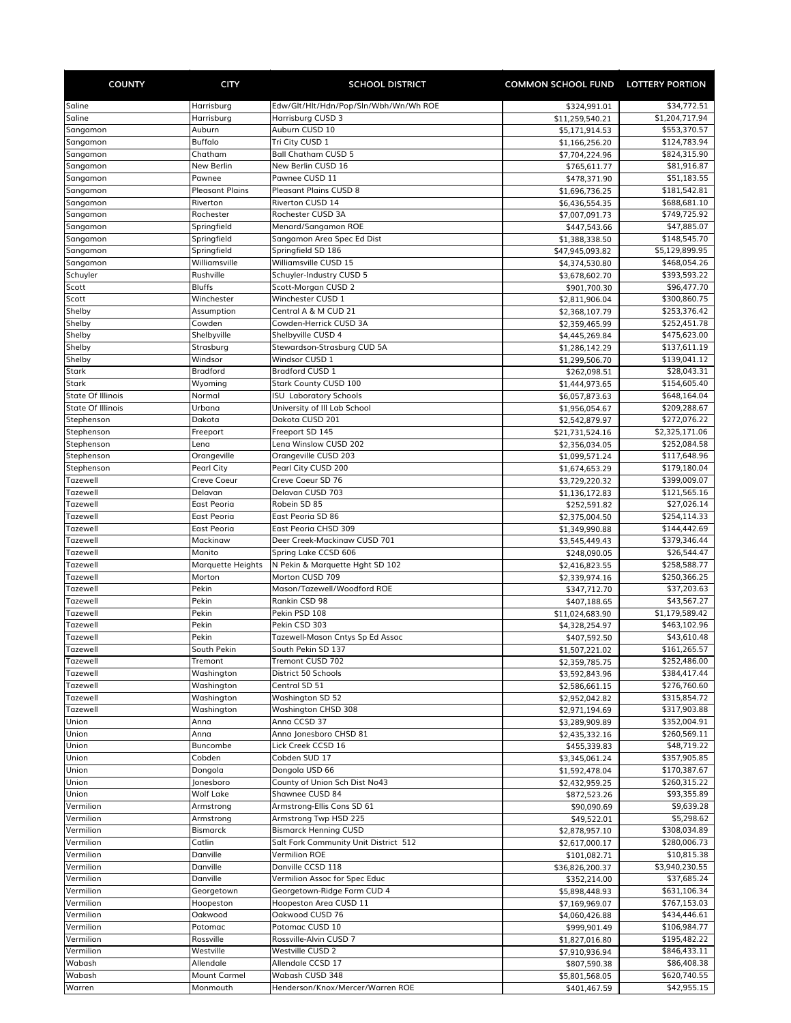| <b>COUNTY</b>                                        | <b>CITY</b>                 | <b>SCHOOL DISTRICT</b>                                        | COMMON SCHOOL FUND LOTTERY PORTION |                              |
|------------------------------------------------------|-----------------------------|---------------------------------------------------------------|------------------------------------|------------------------------|
| Saline                                               | Harrisburg                  | Edw/Glt/Hlt/Hdn/Pop/Sln/Wbh/Wn/Wh ROE                         | \$324,991.01                       | \$34,772.51                  |
| Saline                                               | Harrisburg                  | Harrisburg CUSD 3                                             | \$11,259,540.21                    | \$1,204,717.94               |
| Sangamon                                             | Auburn                      | Auburn CUSD 10                                                | \$5,171,914.53                     | \$553,370.57                 |
| Sangamon                                             | <b>Buffalo</b>              | Tri City CUSD 1                                               | \$1,166,256.20                     | \$124,783.94                 |
| Sangamon                                             | Chatham                     | <b>Ball Chatham CUSD 5</b>                                    | \$7,704,224.96                     | \$824,315.90                 |
| Sangamon<br>Sangamon                                 | New Berlin<br>Pawnee        | New Berlin CUSD 16<br>Pawnee CUSD 11                          | \$765,611.77<br>\$478,371.90       | \$81,916.87<br>\$51,183.55   |
| Sangamon                                             | <b>Pleasant Plains</b>      | <b>Pleasant Plains CUSD 8</b>                                 | \$1,696,736.25                     | \$181,542.81                 |
| Sangamon                                             | Riverton                    | Riverton CUSD 14                                              | \$6,436,554.35                     | \$688,681.10                 |
| Sangamon                                             | Rochester                   | Rochester CUSD 3A                                             | \$7,007,091.73                     | \$749,725.92                 |
| Sangamon                                             | Springfield                 | Menard/Sangamon ROE                                           | \$447,543.66                       | \$47,885.07                  |
| Sangamon                                             | Springfield                 | Sangamon Area Spec Ed Dist                                    | \$1,388,338.50                     | \$148,545.70                 |
| Sangamon                                             | Springfield                 | Springfield SD 186                                            | \$47,945,093.82                    | \$5,129,899.95               |
| Sangamon                                             | Williamsville               | Williamsville CUSD 15                                         | \$4,374,530.80                     | \$468,054.26                 |
| Schuyler<br>Scott                                    | Rushville<br><b>Bluffs</b>  | Schuyler-Industry CUSD 5<br>Scott-Morgan CUSD 2               | \$3,678,602.70                     | \$393,593.22<br>\$96,477.70  |
| Scott                                                | Winchester                  | Winchester CUSD 1                                             | \$901,700.30<br>\$2,811,906.04     | \$300,860.75                 |
| Shelby                                               | Assumption                  | Central A & M CUD 21                                          | \$2,368,107.79                     | \$253,376.42                 |
| Shelby                                               | Cowden                      | Cowden-Herrick CUSD 3A                                        | \$2,359,465.99                     | \$252,451.78                 |
| Shelby                                               | Shelbyville                 | Shelbyville CUSD 4                                            | \$4,445,269.84                     | \$475,623.00                 |
| Shelby                                               | Strasburg                   | Stewardson-Strasburg CUD 5A                                   | \$1,286,142.29                     | \$137,611.19                 |
| Shelby                                               | Windsor                     | Windsor CUSD 1                                                | \$1,299,506.70                     | \$139,041.12                 |
| Stark                                                | <b>Bradford</b>             | <b>Bradford CUSD 1</b>                                        | \$262,098.51                       | \$28,043.31                  |
| <b>Stark</b>                                         | Wyoming                     | Stark County CUSD 100                                         | \$1,444,973.65                     | \$154,605.40                 |
| <b>State Of Illinois</b><br><b>State Of Illinois</b> | Normal<br>Urbana            | <b>ISU Laboratory Schools</b><br>University of III Lab School | \$6,057,873.63                     | \$648,164.04<br>\$209,288.67 |
| Stephenson                                           | Dakota                      | Dakota CUSD 201                                               | \$1,956,054.67<br>\$2,542,879.97   | \$272,076.22                 |
| Stephenson                                           | Freeport                    | Freeport SD 145                                               | \$21,731,524.16                    | \$2,325,171.06               |
| Stephenson                                           | Lena                        | Lena Winslow CUSD 202                                         | \$2,356,034.05                     | \$252,084.58                 |
| Stephenson                                           | Orangeville                 | Orangeville CUSD 203                                          | \$1,099,571.24                     | \$117,648.96                 |
| Stephenson                                           | Pearl City                  | Pearl City CUSD 200                                           | \$1,674,653.29                     | \$179,180.04                 |
| Tazewell                                             | Creve Coeur                 | Creve Coeur SD 76                                             | \$3,729,220.32                     | \$399,009.07                 |
| Tazewell                                             | Delavan                     | Delavan CUSD 703                                              | \$1,136,172.83                     | \$121,565.16                 |
| Tazewell                                             | East Peoria                 | Robein SD 85                                                  | \$252,591.82                       | \$27,026.14                  |
| Tazewell                                             | East Peoria                 | East Peoria SD 86                                             | \$2,375,004.50                     | \$254,114.33                 |
| Tazewell                                             | East Peoria                 | East Peoria CHSD 309                                          | \$1,349,990.88                     | \$144,442.69                 |
| Tazewell                                             | Mackinaw                    | Deer Creek-Mackinaw CUSD 701                                  | \$3,545,449.43                     | \$379,346.44                 |
| Tazewell<br>Tazewell                                 | Manito                      | Spring Lake CCSD 606<br>N Pekin & Marquette Hght SD 102       | \$248,090.05                       | \$26,544.47<br>\$258,588.77  |
| Tazewell                                             | Marquette Heights<br>Morton | Morton CUSD 709                                               | \$2,416,823.55<br>\$2,339,974.16   | \$250,366.25                 |
| Tazewell                                             | Pekin                       | Mason/Tazewell/Woodford ROE                                   | \$347,712.70                       | \$37,203.63                  |
| Tazewell                                             | Pekin                       | Rankin CSD 98                                                 | \$407,188.65                       | \$43,567.27                  |
| Tazewell                                             | Pekin                       | Pekin PSD 108                                                 | \$11,024,683.90                    | \$1,179,589.42               |
| Tazewell                                             | Pekin                       | Pekin CSD 303                                                 | \$4,328,254.97                     | \$463,102.96                 |
| Tazewell                                             | Pekin                       | Tazewell-Mason Cntys Sp Ed Assoc                              | \$407,592.50                       | \$43,610.48                  |
| Tazewell                                             | South Pekin                 | South Pekin SD 137                                            | \$1,507,221.02                     | \$161,265.57                 |
| Tazewell                                             | Tremont                     | Tremont CUSD 702                                              | \$2,359,785.75                     | \$252,486.00                 |
| Tazewell                                             | Washington                  | District 50 Schools                                           | \$3,592,843.96                     | \$384,417.44                 |
| Tazewell                                             | Washington                  | Central SD 51                                                 | \$2,586,661.15                     | \$276,760.60                 |
| <b>Tazewell</b>                                      | Washington                  | Washington SD 52                                              | \$2,952,042.82                     | \$315,854.72<br>\$317,903.88 |
| Tazewell<br>Union                                    | Washington<br>Anna          | <b>Washington CHSD 308</b><br>Anna CCSD 37                    | \$2,971,194.69<br>\$3,289,909.89   | \$352,004.91                 |
| Union                                                | Anna                        | Anna Jonesboro CHSD 81                                        | \$2,435,332.16                     | \$260,569.11                 |
| Union                                                | Buncombe                    | Lick Creek CCSD 16                                            | \$455,339.83                       | \$48,719.22                  |
| Union                                                | Cobden                      | Cobden SUD 17                                                 | \$3,345,061.24                     | \$357,905.85                 |
| Union                                                | Dongola                     | Dongola USD 66                                                | \$1,592,478.04                     | \$170,387.67                 |
| Union                                                | Jonesboro                   | County of Union Sch Dist No43                                 | \$2,432,959.25                     | \$260,315.22                 |
| Union                                                | <b>Wolf Lake</b>            | Shawnee CUSD 84                                               | \$872,523.26                       | \$93,355.89                  |
| Vermilion                                            | Armstrong                   | Armstrong-Ellis Cons SD 61                                    | \$90,090.69                        | \$9,639.28                   |
| Vermilion                                            | Armstrong                   | Armstrong Twp HSD 225                                         | \$49,522.01                        | \$5,298.62                   |
| Vermilion                                            | <b>Bismarck</b>             | <b>Bismarck Henning CUSD</b>                                  | \$2,878,957.10                     | \$308,034.89                 |
| Vermilion<br>Vermilion                               | Catlin<br>Danville          | Salt Fork Community Unit District 512<br>Vermilion ROE        | \$2,617,000.17                     | \$280,006.73<br>\$10,815.38  |
| Vermilion                                            | Danville                    | Danville CCSD 118                                             | \$101,082.71<br>\$36,826,200.37    | \$3,940,230.55               |
| Vermilion                                            | Danville                    | Vermilion Assoc for Spec Educ                                 | \$352,214.00                       | \$37,685.24                  |
| Vermilion                                            | Georgetown                  | Georgetown-Ridge Farm CUD 4                                   | \$5,898,448.93                     | \$631,106.34                 |
| Vermilion                                            | Hoopeston                   | Hoopeston Area CUSD 11                                        | \$7,169,969.07                     | \$767,153.03                 |
| Vermilion                                            | Oakwood                     | Oakwood CUSD 76                                               | \$4,060,426.88                     | \$434,446.61                 |
| Vermilion                                            | Potomac                     | Potomac CUSD 10                                               | \$999,901.49                       | \$106,984.77                 |
| Vermilion                                            | Rossville                   | Rossville-Alvin CUSD 7                                        | \$1,827,016.80                     | \$195,482.22                 |
| Vermilion                                            | Westville                   | Westville CUSD 2                                              | \$7,910,936.94                     | \$846,433.11                 |
| Wabash                                               | Allendale                   | Allendale CCSD 17                                             | \$807,590.38                       | \$86,408.38                  |
| Wabash                                               | <b>Mount Carmel</b>         | Wabash CUSD 348                                               | \$5,801,568.05                     | \$620,740.55                 |
| Warren                                               | Monmouth                    | Henderson/Knox/Mercer/Warren ROE                              | \$401,467.59                       | \$42,955.15                  |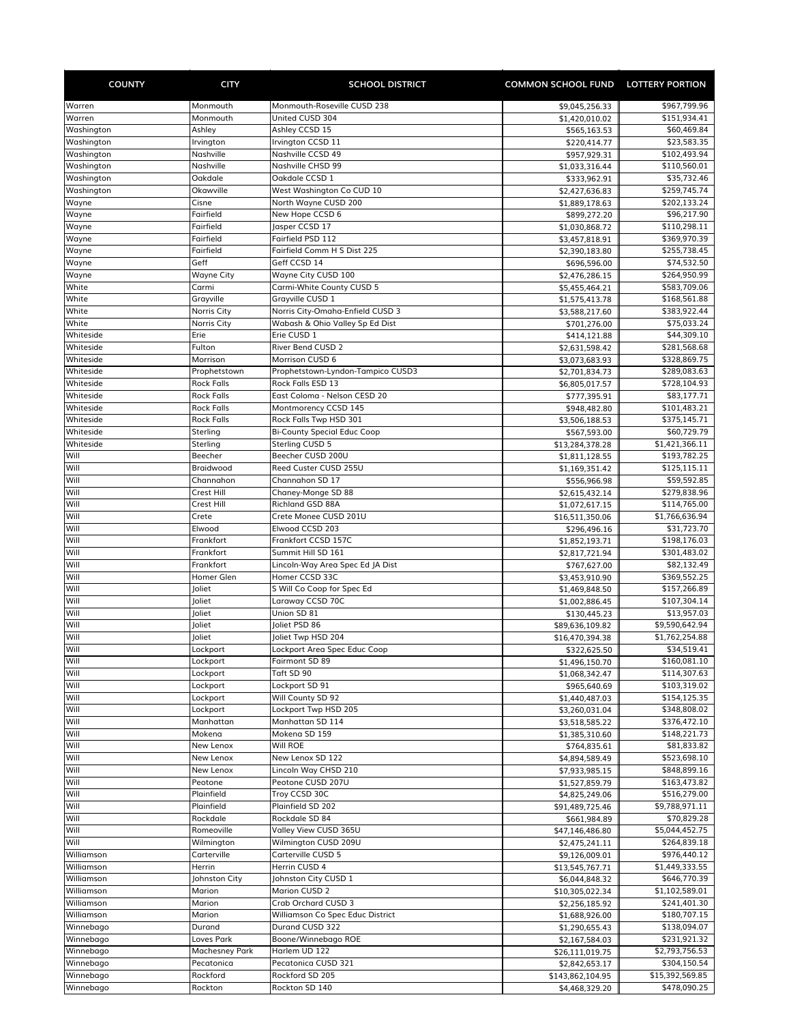| <b>COUNTY</b>            | <b>CITY</b>                            | <b>SCHOOL DISTRICT</b>                            | <b>COMMON SCHOOL FUND LOTTERY PORTION</b> |                                |
|--------------------------|----------------------------------------|---------------------------------------------------|-------------------------------------------|--------------------------------|
| Warren                   | Monmouth                               | Monmouth-Roseville CUSD 238                       | \$9,045,256.33                            | \$967,799.96                   |
| Warren                   | Monmouth                               | United CUSD 304                                   | \$1,420,010.02                            | \$151,934.41                   |
| Washington               | Ashley                                 | Ashley CCSD 15                                    | \$565,163.53                              | \$60,469.84                    |
| Washington               | Irvington                              | Irvington CCSD 11                                 | \$220,414.77                              | \$23,583.35                    |
| Washington               | Nashville                              | Nashville CCSD 49                                 | \$957,929.31                              | \$102,493.94                   |
| Washington               | Nashville                              | Nashville CHSD 99                                 | \$1,033,316.44                            | \$110,560.01                   |
| Washington<br>Washington | Oakdale<br>Okawville                   | Oakdale CCSD 1<br>West Washington Co CUD 10       | \$333,962.91<br>\$2,427,636.83            | \$35,732.46<br>\$259,745.74    |
| Wayne                    | Cisne                                  | North Wayne CUSD 200                              | \$1,889,178.63                            | \$202,133.24                   |
| Wayne                    | Fairfield                              | New Hope CCSD 6                                   | \$899,272.20                              | \$96,217.90                    |
| Wayne                    | Fairfield                              | Jasper CCSD 17                                    | \$1,030,868.72                            | \$110,298.11                   |
| Wayne                    | Fairfield                              | Fairfield PSD 112                                 | \$3,457,818.91                            | \$369,970.39                   |
| Wayne                    | Fairfield                              | Fairfield Comm H S Dist 225                       | \$2,390,183.80                            | \$255,738.45                   |
| Wayne                    | Geff                                   | Geff CCSD 14                                      | \$696,596.00                              | \$74,532.50                    |
| Wayne<br>White           | Wayne City<br>Carmi                    | Wayne City CUSD 100<br>Carmi-White County CUSD 5  | \$2,476,286.15<br>\$5,455,464.21          | \$264,950.99<br>\$583,709.06   |
| White                    | Grayville                              | Grayville CUSD 1                                  | \$1,575,413.78                            | \$168,561.88                   |
| White                    | Norris City                            | Norris City-Omaha-Enfield CUSD 3                  | \$3,588,217.60                            | \$383,922.44                   |
| White                    | Norris City                            | Wabash & Ohio Valley Sp Ed Dist                   | \$701,276.00                              | \$75,033.24                    |
| Whiteside                | Erie                                   | Erie CUSD 1                                       | \$414,121.88                              | \$44,309.10                    |
| Whiteside                | Fulton                                 | River Bend CUSD 2                                 | \$2,631,598.42                            | \$281,568.68                   |
| Whiteside                | Morrison                               | Morrison CUSD 6                                   | \$3,073,683.93                            | \$328,869.75                   |
| Whiteside                | Prophetstown                           | Prophetstown-Lyndon-Tampico CUSD3                 | \$2,701,834.73                            | \$289,083.63                   |
| Whiteside<br>Whiteside   | <b>Rock Falls</b><br><b>Rock Falls</b> | Rock Falls ESD 13<br>East Coloma - Nelson CESD 20 | \$6,805,017.57<br>\$777,395.91            | \$728,104.93<br>\$83,177.71    |
| Whiteside                | <b>Rock Falls</b>                      | Montmorency CCSD 145                              | \$948,482.80                              | \$101,483.21                   |
| Whiteside                | <b>Rock Falls</b>                      | Rock Falls Twp HSD 301                            | \$3,506,188.53                            | \$375,145.71                   |
| Whiteside                | Sterling                               | <b>Bi-County Special Educ Coop</b>                | \$567,593.00                              | \$60,729.79                    |
| Whiteside                | Sterling                               | Sterling CUSD 5                                   | \$13,284,378.28                           | \$1,421,366.11                 |
| Will                     | Beecher                                | Beecher CUSD 200U                                 | \$1,811,128.55                            | \$193,782.25                   |
| Will                     | Braidwood                              | Reed Custer CUSD 255U                             | \$1,169,351.42                            | \$125,115.11                   |
| Will                     | Channahon                              | Channahon SD 17                                   | \$556,966.98                              | \$59,592.85                    |
| Will<br>Will             | Crest Hill<br>Crest Hill               | Chaney-Monge SD 88<br>Richland GSD 88A            | \$2,615,432.14                            | \$279,838.96<br>\$114,765.00   |
| Will                     | Crete                                  | Crete Monee CUSD 201U                             | \$1,072,617.15<br>\$16,511,350.06         | \$1,766,636.94                 |
| Will                     | Elwood                                 | Elwood CCSD 203                                   | \$296,496.16                              | \$31,723.70                    |
| Will                     | Frankfort                              | Frankfort CCSD 157C                               | \$1,852,193.71                            | \$198,176.03                   |
| Will                     | Frankfort                              | Summit Hill SD 161                                | \$2,817,721.94                            | \$301,483.02                   |
| Will                     | Frankfort                              | Lincoln-Way Area Spec Ed JA Dist                  | \$767,627.00                              | \$82,132.49                    |
| Will                     | Homer Glen                             | Homer CCSD 33C                                    | \$3,453,910.90                            | \$369,552.25                   |
| Will                     | Joliet                                 | S Will Co Coop for Spec Ed<br>Laraway CCSD 70C    | \$1,469,848.50                            | \$157,266.89<br>\$107,304.14   |
| Will<br>Will             | Joliet<br>Joliet                       | Union SD 81                                       | \$1,002,886.45<br>\$130,445.23            | \$13,957.03                    |
| Will                     | Joliet                                 | Joliet PSD 86                                     | \$89,636,109.82                           | \$9,590,642.94                 |
| Will                     | Joliet                                 | Joliet Twp HSD 204                                | \$16,470,394.38                           | \$1,762,254.88                 |
| Will                     | Lockport                               | Lockport Area Spec Educ Coop                      | \$322,625.50                              | \$34,519.41                    |
| Will                     | Lockport                               | Fairmont SD 89                                    | \$1,496,150.70                            | \$160,081.10                   |
| Will                     | Lockport                               | Taft SD 90                                        | \$1,068,342.47                            | \$114,307.63                   |
| Will                     | Lockport                               | Lockport SD 91                                    | \$965,640.69                              | \$103,319.02                   |
| Will                     | Lockport                               | Will County SD 92                                 | \$1,440,487.03                            | \$154,125.35                   |
| Will<br>Will             | Lockport<br>Manhattan                  | Lockport Twp HSD 205<br>Manhattan SD 114          | \$3,260,031.04<br>\$3,518,585.22          | \$348,808.02<br>\$376,472.10   |
| Will                     | Mokena                                 | Mokena SD 159                                     | \$1,385,310.60                            | \$148,221.73                   |
| Will                     | New Lenox                              | Will ROE                                          | \$764,835.61                              | \$81,833.82                    |
| Will                     | New Lenox                              | New Lenox SD 122                                  | \$4,894,589.49                            | \$523,698.10                   |
| Will                     | New Lenox                              | Lincoln Way CHSD 210                              | \$7,933,985.15                            | \$848,899.16                   |
| Will                     | Peotone                                | Peotone CUSD 207U                                 | \$1,527,859.79                            | \$163,473.82                   |
| Will                     | Plainfield                             | Troy CCSD 30C                                     | \$4,825,249.06                            | \$516,279.00                   |
| Will                     | Plainfield                             | Plainfield SD 202                                 | \$91,489,725.46                           | \$9,788,971.11                 |
| Will<br>Will             | Rockdale<br>Romeoville                 | Rockdale SD 84<br>Valley View CUSD 365U           | \$661,984.89                              | \$70,829.28<br>\$5,044,452.75  |
| Will                     | Wilmington                             | Wilmington CUSD 209U                              | \$47,146,486.80<br>\$2,475,241.11         | \$264,839.18                   |
| Williamson               | Carterville                            | Carterville CUSD 5                                | \$9,126,009.01                            | \$976,440.12                   |
| Williamson               | Herrin                                 | Herrin CUSD 4                                     | \$13,545,767.71                           | \$1,449,333.55                 |
| Williamson               | Johnston City                          | Johnston City CUSD 1                              | \$6,044,848.32                            | \$646,770.39                   |
| Williamson               | Marion                                 | Marion CUSD 2                                     | \$10,305,022.34                           | \$1,102,589.01                 |
| Williamson               | Marion                                 | Crab Orchard CUSD 3                               | \$2,256,185.92                            | \$241,401.30                   |
| Williamson               | Marion                                 | Williamson Co Spec Educ District                  | \$1,688,926.00                            | \$180,707.15                   |
| Winnebago                | Durand                                 | Durand CUSD 322                                   | \$1,290,655.43                            | \$138,094.07                   |
| Winnebago                | Loves Park                             | Boone/Winnebago ROE                               | \$2,167,584.03                            | \$231,921.32                   |
| Winnebago<br>Winnebago   | <b>Machesney Park</b><br>Pecatonica    | Harlem UD 122<br>Pecatonica CUSD 321              | \$26,111,019.75                           | \$2,793,756.53<br>\$304,150.54 |
| Winnebago                | Rockford                               | Rockford SD 205                                   | \$2,842,653.17<br>\$143,862,104.95        | \$15,392,569.85                |
| Winnebago                | Rockton                                | Rockton SD 140                                    | \$4,468,329.20                            | \$478,090.25                   |